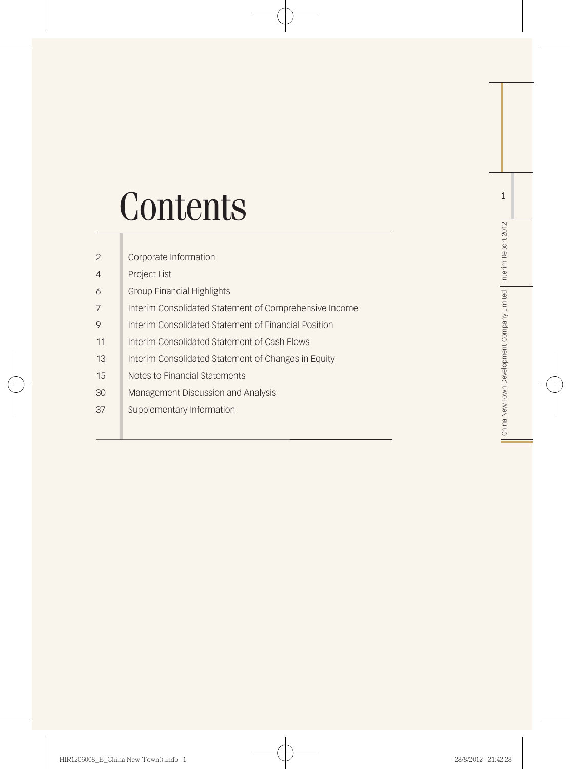# **Contents**

| $\overline{2}$ | Corporate Information                                  |
|----------------|--------------------------------------------------------|
| 4              | <b>Project List</b>                                    |
| 6              | <b>Group Financial Highlights</b>                      |
| 7              | Interim Consolidated Statement of Comprehensive Income |
| 9              | Interim Consolidated Statement of Financial Position   |
| 11             | Interim Consolidated Statement of Cash Flows           |
| 13             | Interim Consolidated Statement of Changes in Equity    |
| 15             | Notes to Financial Statements                          |
| 30             | Management Discussion and Analysis                     |
| 37             | Supplementary Information                              |
|                |                                                        |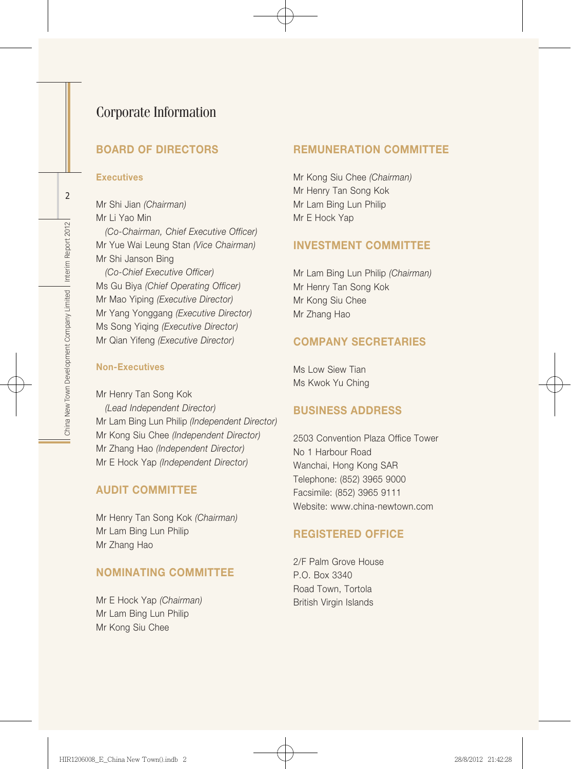## Corporate Information

## BOARD OF DIRECTORS

#### **Executives**

Mr Shi Jian *(Chairman)* Mr Li Yao Min *(Co-Chairman, Chief Executive Officer)* Mr Yue Wai Leung Stan *(Vice Chairman)* Mr Shi Janson Bing *(Co-Chief Executive Officer)* Ms Gu Biya *(Chief Operating Officer)* Mr Mao Yiping *(Executive Director)* Mr Yang Yonggang *(Executive Director)* Ms Song Yiqing *(Executive Director)* Mr Qian Yifeng *(Executive Director)*

#### Non-Executives

Mr Henry Tan Song Kok *(Lead Independent Director)* Mr Lam Bing Lun Philip *(Independent Director)* Mr Kong Siu Chee *(Independent Director)* Mr Zhang Hao *(Independent Director)* Mr E Hock Yap *(Independent Director)*

#### AUDIT COMMITTEE

Mr Henry Tan Song Kok *(Chairman)* Mr Lam Bing Lun Philip Mr Zhang Hao

#### NOMINATING COMMITTEE

Mr E Hock Yap *(Chairman)* Mr Lam Bing Lun Philip Mr Kong Siu Chee

#### REMUNERATION COMMITTEE

Mr Kong Siu Chee *(Chairman)* Mr Henry Tan Song Kok Mr Lam Bing Lun Philip Mr E Hock Yap

#### INVESTMENT COMMITTEE

Mr Lam Bing Lun Philip *(Chairman)* Mr Henry Tan Song Kok Mr Kong Siu Chee Mr Zhang Hao

#### COMPANY SECRETARIES

Ms Low Siew Tian Ms Kwok Yu Ching

#### BUSINESS ADDRESS

2503 Convention Plaza Office Tower No 1 Harbour Road Wanchai, Hong Kong SAR Telephone: (852) 3965 9000 Facsimile: (852) 3965 9111 Website: www.china-newtown.com

#### REGISTERED OFFICE

2/F Palm Grove House P.O. Box 3340 Road Town, Tortola British Virgin Islands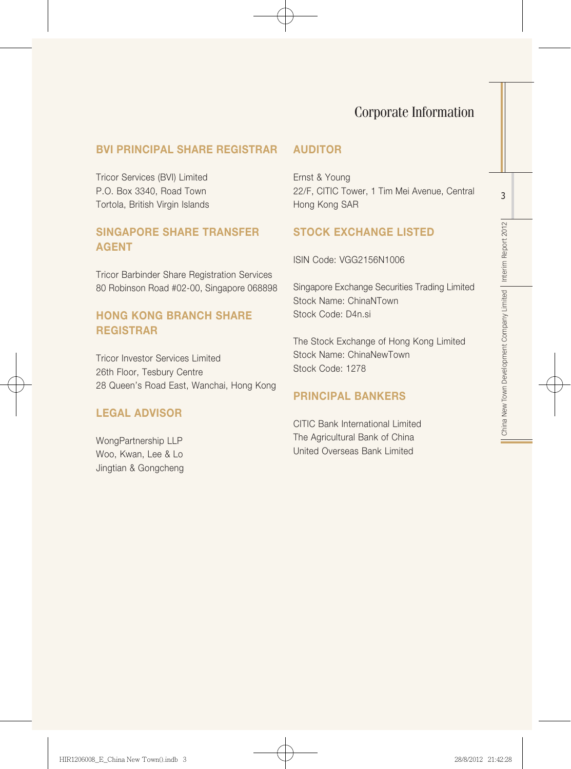# Corporate Information

## BVI PRINCIPAL SHARE REGISTRAR

Tricor Services (BVI) Limited P.O. Box 3340, Road Town Tortola, British Virgin Islands

## SINGAPORE SHARE TRANSFER AGENT

Tricor Barbinder Share Registration Services 80 Robinson Road #02-00, Singapore 068898

## HONG KONG BRANCH SHARE REGISTRAR

Tricor Investor Services Limited 26th Floor, Tesbury Centre 28 Queen's Road East, Wanchai, Hong Kong

## LEGAL ADVISOR

WongPartnership LLP Woo, Kwan, Lee & Lo Jingtian & Gongcheng

## AUDITOR

Ernst & Young 22/F, CITIC Tower, 1 Tim Mei Avenue, Central Hong Kong SAR

## STOCK EXCHANGE LISTED

ISIN Code: VGG2156N1006

Singapore Exchange Securities Trading Limited Stock Name: ChinaNTown Stock Code: D4n.si

The Stock Exchange of Hong Kong Limited Stock Name: ChinaNewTown Stock Code: 1278

#### PRINCIPAL BANKERS

CITIC Bank International Limited The Agricultural Bank of China United Overseas Bank Limited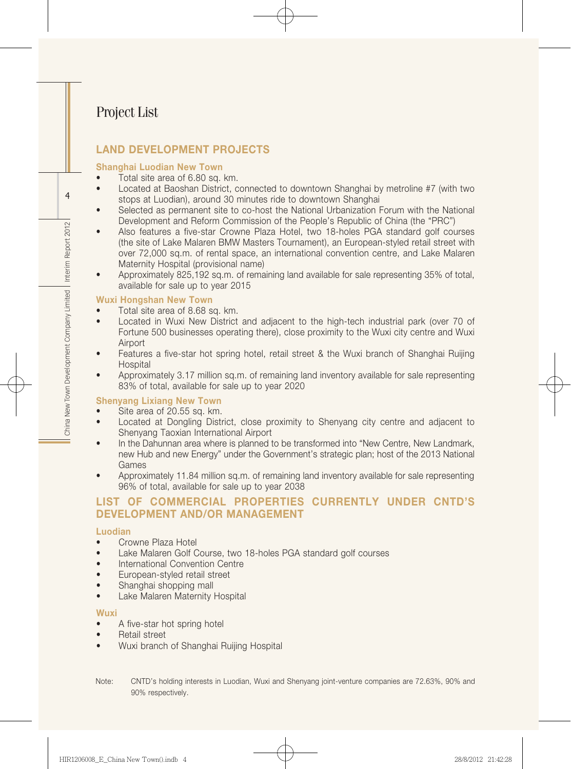# Project List

## LAND DEVELOPMENT PROJECTS

#### Shanghai Luodian New Town

- Total site area of 6.80 sq. km.
- Located at Baoshan District, connected to downtown Shanghai by metroline #7 (with two stops at Luodian), around 30 minutes ride to downtown Shanghai
- Selected as permanent site to co-host the National Urbanization Forum with the National Development and Reform Commission of the People's Republic of China (the "PRC")
- Also features a five-star Crowne Plaza Hotel, two 18-holes PGA standard golf courses (the site of Lake Malaren BMW Masters Tournament), an European-styled retail street with over 72,000 sq.m. of rental space, an international convention centre, and Lake Malaren Maternity Hospital (provisional name)
- Approximately 825,192 sq.m. of remaining land available for sale representing 35% of total. available for sale up to year 2015

#### Wuxi Hongshan New Town

- Total site area of 8.68 sq. km.
- Located in Wuxi New District and adiacent to the high-tech industrial park (over 70 of Fortune 500 businesses operating there), close proximity to the Wuxi city centre and Wuxi Airport
- Features a five-star hot spring hotel, retail street & the Wuxi branch of Shanghai Ruijing **Hospital**
- Approximately 3.17 million sq.m. of remaining land inventory available for sale representing 83% of total, available for sale up to year 2020

#### Shenyang Lixiang New Town

- Site area of 20.55 sq. km.
- Located at Dongling District, close proximity to Shenyang city centre and adjacent to Shenyang Taoxian International Airport
- In the Dahunnan area where is planned to be transformed into "New Centre, New Landmark, new Hub and new Energy" under the Government's strategic plan; host of the 2013 National Games
- Approximately 11.84 million sq.m. of remaining land inventory available for sale representing 96% of total, available for sale up to year 2038

## List of commercial properties currently under cntd's development and/or management

#### Luodian

- Crowne Plaza Hotel
- Lake Malaren Golf Course, two 18-holes PGA standard golf courses
- International Convention Centre
- • European-styled retail street
- Shanghai shopping mall
- Lake Malaren Maternity Hospital

#### Wuxi

- A five-star hot spring hotel
- • Retail street
- Wuxi branch of Shanghai Ruijing Hospital
- Note: CNTD's holding interests in Luodian, Wuxi and Shenyang joint-venture companies are 72.63%, 90% and 90% respectively.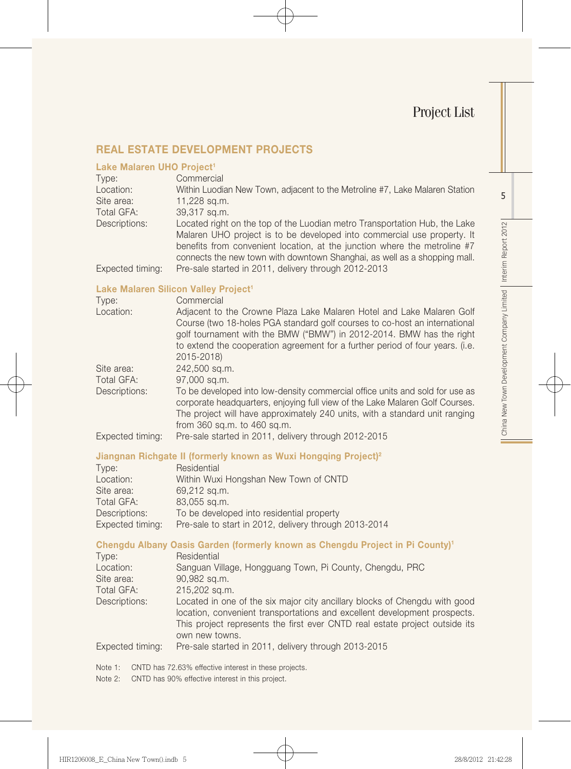## Real Estate Development Projects

#### Lake Malaren UHO Project<sup>1</sup>

| Type:<br>Location: | Commercial<br>Within Luodian New Town, adjacent to the Metroline #7, Lake Malaren Station                                                              |
|--------------------|--------------------------------------------------------------------------------------------------------------------------------------------------------|
| Site area:         | 11,228 sq.m.                                                                                                                                           |
| Total GFA:         | 39,317 sq.m.                                                                                                                                           |
| Descriptions:      | Located right on the top of the Luodian metro Transportation Hub, the Lake                                                                             |
|                    | Malaren UHO project is to be developed into commercial use property. It                                                                                |
|                    | benefits from convenient location, at the junction where the metroline #7<br>connects the new town with downtown Shanghai, as well as a shopping mall. |
| Expected timing:   | Pre-sale started in 2011, delivery through 2012-2013                                                                                                   |

#### Lake Malaren Silicon Valley Project<sup>1</sup>

| Type:            | Commercial                                                                                                                                                   |
|------------------|--------------------------------------------------------------------------------------------------------------------------------------------------------------|
| Location:        | Adjacent to the Crowne Plaza Lake Malaren Hotel and Lake Malaren Golf                                                                                        |
|                  | Course (two 18-holes PGA standard golf courses to co-host an international<br>golf tournament with the BMW ("BMW") in 2012-2014. BMW has the right           |
|                  | to extend the cooperation agreement for a further period of four years. (i.e.                                                                                |
|                  | 2015-2018)                                                                                                                                                   |
| Site area:       | 242,500 sq.m.                                                                                                                                                |
| Total GFA:       | 97,000 sq.m.                                                                                                                                                 |
| Descriptions:    | To be developed into low-density commercial office units and sold for use as<br>corporate headquarters, enjoying full view of the Lake Malaren Golf Courses. |
|                  | The project will have approximately 240 units, with a standard unit ranging<br>from 360 sq.m. to 460 sq.m.                                                   |
| Expected timing: | Pre-sale started in 2011, delivery through 2012-2015                                                                                                         |

#### Jiangnan Richgate II (formerly known as Wuxi Hongqing Project)2

| Type:            | Residential                                           |
|------------------|-------------------------------------------------------|
| Location:        | Within Wuxi Hongshan New Town of CNTD                 |
| Site area:       | 69,212 sq.m.                                          |
| Total GFA:       | 83,055 sq.m.                                          |
| Descriptions:    | To be developed into residential property             |
| Expected timing: | Pre-sale to start in 2012, delivery through 2013-2014 |

## Chengdu Albany Oasis Garden (formerly known as Chengdu Project in Pi County)1

| Residential                                                                                                                                             |
|---------------------------------------------------------------------------------------------------------------------------------------------------------|
| Sanguan Village, Hongguang Town, Pi County, Chengdu, PRC                                                                                                |
| 90,982 sq.m.                                                                                                                                            |
| 215,202 sq.m.                                                                                                                                           |
| Located in one of the six major city ancillary blocks of Chengdu with good<br>location, convenient transportations and excellent development prospects. |
| This project represents the first ever CNTD real estate project outside its                                                                             |
| own new towns.                                                                                                                                          |
| Pre-sale started in 2011, delivery through 2013-2015                                                                                                    |
|                                                                                                                                                         |

Note 1: CNTD has 72.63% effective interest in these projects.

Note 2: CNTD has 90% effective interest in this project.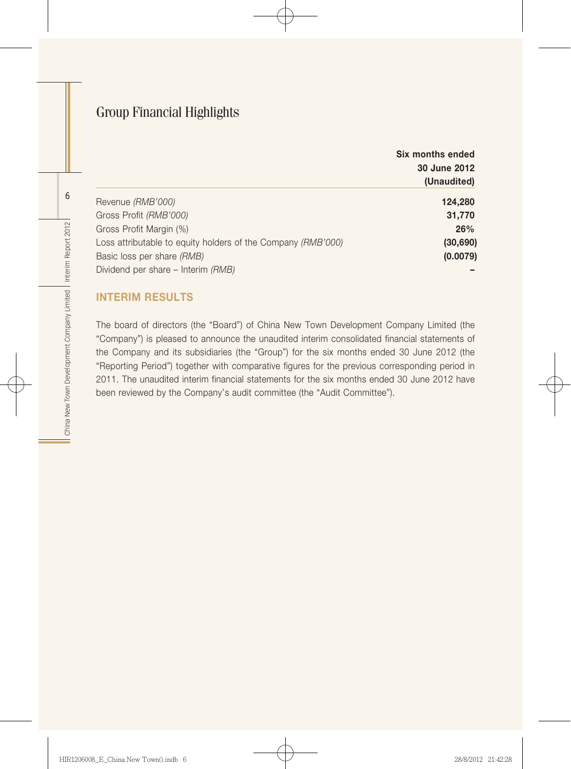# Group Financial Highlights

|                                                              | Six months ended<br>30 June 2012 |
|--------------------------------------------------------------|----------------------------------|
|                                                              | (Unaudited)                      |
| Revenue (RMB'000)                                            | 124,280                          |
| Gross Profit (RMB'000)                                       | 31,770                           |
| Gross Profit Margin (%)                                      | 26%                              |
| Loss attributable to equity holders of the Company (RMB'000) | (30, 690)                        |
| Basic loss per share (RMB)                                   | (0.0079)                         |
| Dividend per share - Interim (RMB)                           |                                  |

## Interim Results

The board of directors (the "Board") of China New Town Development Company Limited (the "Company") is pleased to announce the unaudited interim consolidated financial statements of the Company and its subsidiaries (the "Group") for the six months ended 30 June 2012 (the "Reporting Period") together with comparative figures for the previous corresponding period in 2011. The unaudited interim financial statements for the six months ended 30 June 2012 have been reviewed by the Company's audit committee (the "Audit Committee").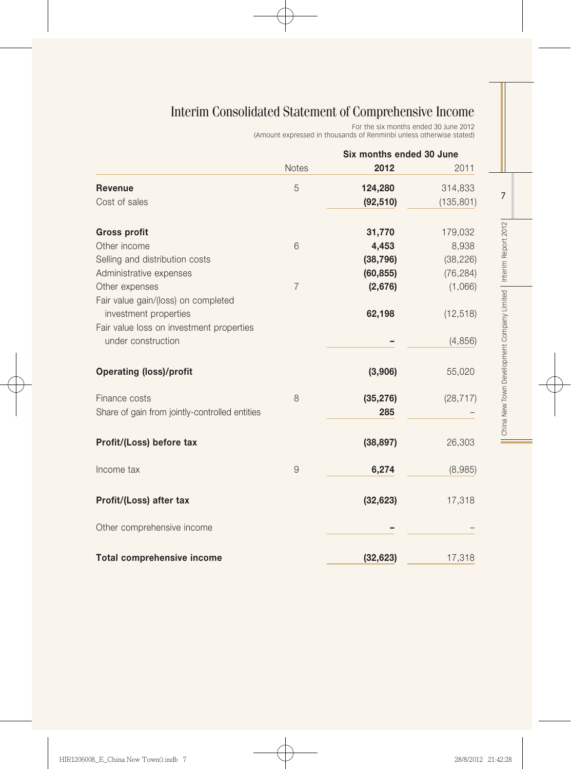# Interim Consolidated Statement of Comprehensive Income

For the six months ended 30 June 2012

(Amount expressed in thousands of Renminbi unless otherwise stated)

|                                                | Six months ended 30 June |           |            |
|------------------------------------------------|--------------------------|-----------|------------|
|                                                | <b>Notes</b>             | 2012      | 2011       |
| <b>Revenue</b>                                 | 5                        | 124,280   | 314,833    |
| Cost of sales                                  |                          | (92, 510) | (135, 801) |
| <b>Gross profit</b>                            |                          | 31,770    | 179,032    |
| Other income                                   | 6                        | 4,453     | 8,938      |
| Selling and distribution costs                 |                          | (38, 796) | (38, 226)  |
| Administrative expenses                        |                          | (60, 855) | (76, 284)  |
| Other expenses                                 | $\overline{7}$           | (2,676)   | (1,066)    |
| Fair value gain/(loss) on completed            |                          |           |            |
| investment properties                          |                          | 62,198    | (12, 518)  |
| Fair value loss on investment properties       |                          |           |            |
| under construction                             |                          |           | (4, 856)   |
| <b>Operating (loss)/profit</b>                 |                          | (3,906)   | 55,020     |
| Finance costs                                  | 8                        | (35, 276) | (28, 717)  |
| Share of gain from jointly-controlled entities |                          | 285       |            |
| Profit/(Loss) before tax                       |                          | (38, 897) | 26,303     |
| Income tax                                     | 9                        | 6,274     | (8,985)    |
| Profit/(Loss) after tax                        |                          | (32, 623) | 17,318     |
| Other comprehensive income                     |                          |           |            |
| <b>Total comprehensive income</b>              |                          | (32, 623) | 17,318     |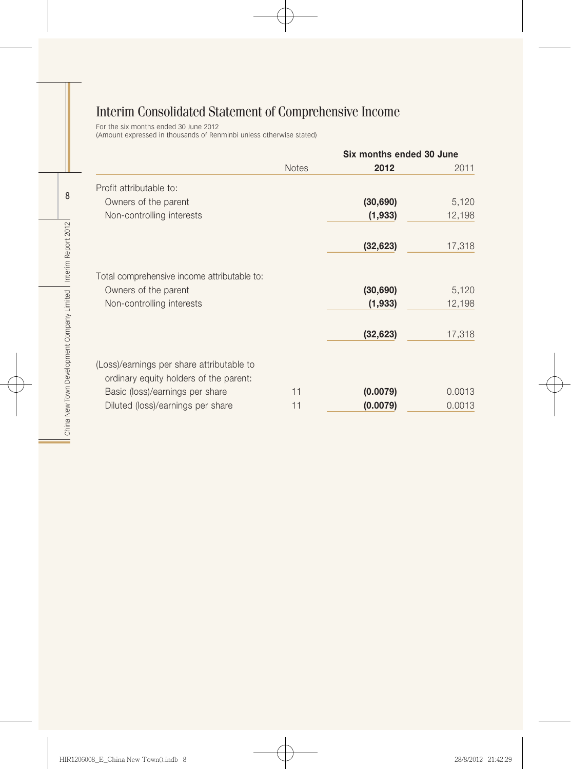# Interim Consolidated Statement of Comprehensive Income

For the six months ended 30 June 2012 (Amount expressed in thousands of Renminbi unless otherwise stated)

|                                             |              | Six months ended 30 June |        |
|---------------------------------------------|--------------|--------------------------|--------|
|                                             | <b>Notes</b> | 2012                     | 2011   |
| Profit attributable to:                     |              |                          |        |
| Owners of the parent                        |              | (30, 690)                | 5,120  |
| Non-controlling interests                   |              | (1,933)                  | 12,198 |
|                                             |              | (32, 623)                | 17,318 |
| Total comprehensive income attributable to: |              |                          |        |
| Owners of the parent                        |              | (30, 690)                | 5,120  |
| Non-controlling interests                   |              | (1,933)                  | 12,198 |
|                                             |              | (32, 623)                | 17,318 |
| (Loss)/earnings per share attributable to   |              |                          |        |
| ordinary equity holders of the parent:      | 11           |                          | 0.0013 |
| Basic (loss)/earnings per share             |              | (0.0079)                 |        |
| Diluted (loss)/earnings per share           | 11           | (0.0079)                 | 0.0013 |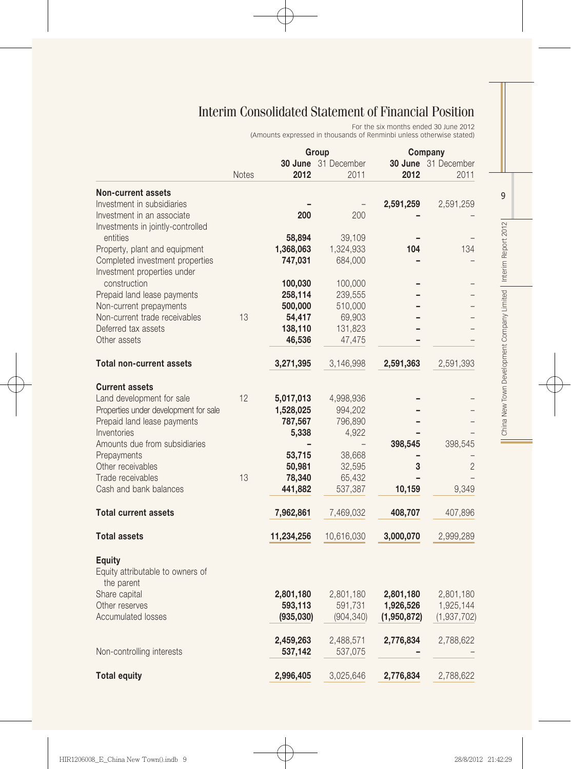# Interim Consolidated Statement of Financial Position

For the six months ended 30 June 2012 (Amounts expressed in thousands of Renminbi unless otherwise stated)

|                                                                 |              |                      | Group                | Company                |                        |  |
|-----------------------------------------------------------------|--------------|----------------------|----------------------|------------------------|------------------------|--|
|                                                                 |              |                      | 30 June 31 December  |                        | 30 June 31 December    |  |
|                                                                 | <b>Notes</b> | 2012                 | 2011                 | 2012                   | 2011                   |  |
| <b>Non-current assets</b>                                       |              |                      |                      |                        |                        |  |
| Investment in subsidiaries                                      |              |                      |                      | 2,591,259              | 2,591,259              |  |
| Investment in an associate                                      |              | 200                  | 200                  |                        |                        |  |
| Investments in jointly-controlled<br>entities                   |              | 58,894               | 39,109               |                        |                        |  |
| Property, plant and equipment                                   |              | 1,368,063            | 1,324,933            | 104                    | 134                    |  |
| Completed investment properties                                 |              | 747,031              | 684,000              |                        |                        |  |
| Investment properties under<br>construction                     |              | 100,030              | 100,000              |                        |                        |  |
| Prepaid land lease payments                                     |              | 258,114              | 239,555              |                        |                        |  |
| Non-current prepayments                                         |              | 500,000              | 510,000              |                        |                        |  |
| Non-current trade receivables                                   | 13           | 54,417               | 69,903               |                        |                        |  |
| Deferred tax assets                                             |              |                      |                      |                        |                        |  |
| Other assets                                                    |              | 138,110<br>46,536    | 131,823              |                        |                        |  |
|                                                                 |              |                      | 47,475               |                        |                        |  |
| <b>Total non-current assets</b>                                 |              | 3,271,395            | 3,146,998            | 2,591,363              | 2,591,393              |  |
| <b>Current assets</b>                                           |              |                      |                      |                        |                        |  |
| Land development for sale                                       | 12           | 5,017,013            | 4,998,936            |                        |                        |  |
| Properties under development for sale                           |              | 1,528,025            | 994,202              |                        |                        |  |
| Prepaid land lease payments                                     |              | 787,567              | 796,890              |                        |                        |  |
| Inventories                                                     |              | 5,338                | 4,922                |                        |                        |  |
| Amounts due from subsidiaries                                   |              |                      |                      | 398,545                | 398,545                |  |
| Prepayments                                                     |              | 53,715               | 38,668               |                        |                        |  |
| Other receivables                                               |              | 50,981               | 32,595               | 3                      | $\overline{2}$         |  |
| Trade receivables                                               | 13           | 78,340               | 65,432               |                        |                        |  |
| Cash and bank balances                                          |              | 441,882              | 537,387              | 10,159                 | 9,349                  |  |
| <b>Total current assets</b>                                     |              | 7,962,861            | 7,469,032            | 408,707                | 407,896                |  |
|                                                                 |              |                      |                      |                        |                        |  |
| <b>Total assets</b>                                             |              | 11,234,256           | 10,616,030           | 3,000,070              | 2,999,289              |  |
| <b>Equity</b><br>Equity attributable to owners of<br>the parent |              |                      |                      |                        |                        |  |
|                                                                 |              |                      |                      |                        |                        |  |
| Share capital<br>Other reserves                                 |              | 2,801,180<br>593,113 | 2,801,180<br>591,731 | 2,801,180<br>1,926,526 | 2,801,180<br>1,925,144 |  |
| <b>Accumulated losses</b>                                       |              | (935,030)            |                      |                        |                        |  |
|                                                                 |              |                      | (904, 340)           | (1,950,872)            | (1,937,702)            |  |
|                                                                 |              | 2,459,263            | 2,488,571            | 2,776,834              | 2,788,622              |  |
| Non-controlling interests                                       |              | 537,142              | 537,075              |                        |                        |  |
|                                                                 |              |                      |                      |                        |                        |  |
| <b>Total equity</b>                                             |              | 2,996,405            | 3,025,646            | 2,776,834              | 2,788,622              |  |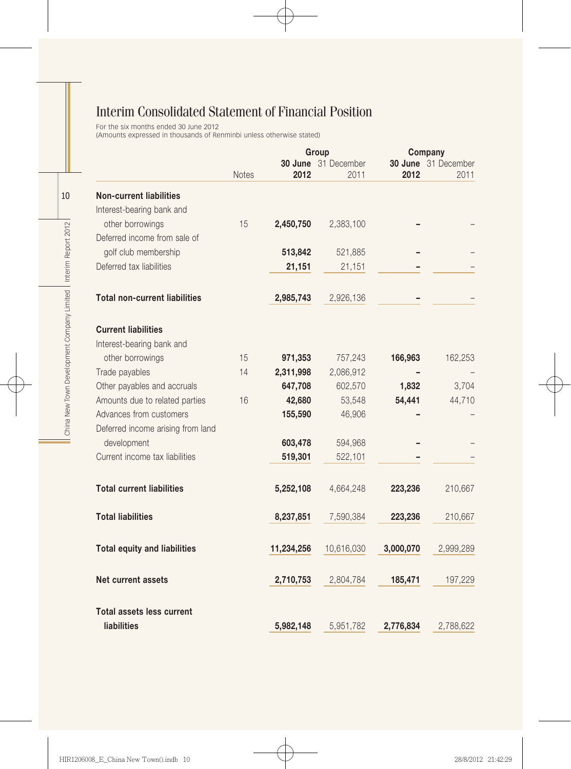# Interim Consolidated Statement of Financial Position

For the six months ended 30 June 2012

(Amounts expressed in thousands of Renminbi unless otherwise stated)

|                                      |              |            | Group               | Company   |                     |
|--------------------------------------|--------------|------------|---------------------|-----------|---------------------|
|                                      |              |            | 30 June 31 December |           | 30 June 31 December |
|                                      | <b>Notes</b> | 2012       | 2011                | 2012      | 2011                |
| <b>Non-current liabilities</b>       |              |            |                     |           |                     |
| Interest-bearing bank and            |              |            |                     |           |                     |
| other borrowings                     | 15           | 2,450,750  | 2,383,100           |           |                     |
| Deferred income from sale of         |              |            |                     |           |                     |
| golf club membership                 |              | 513,842    | 521,885             |           |                     |
| Deferred tax liabilities             |              | 21,151     | 21,151              |           |                     |
|                                      |              |            |                     |           |                     |
| <b>Total non-current liabilities</b> |              | 2,985,743  | 2,926,136           |           |                     |
| <b>Current liabilities</b>           |              |            |                     |           |                     |
| Interest-bearing bank and            |              |            |                     |           |                     |
| other borrowings                     | 15           | 971,353    | 757,243             | 166,963   | 162,253             |
| Trade payables                       | 14           | 2,311,998  | 2,086,912           |           |                     |
| Other payables and accruals          |              | 647,708    | 602,570             | 1,832     | 3,704               |
| Amounts due to related parties       | 16           | 42,680     | 53,548              | 54,441    | 44,710              |
| Advances from customers              |              | 155,590    | 46,906              |           |                     |
| Deferred income arising from land    |              |            |                     |           |                     |
| development                          |              | 603,478    | 594,968             |           |                     |
| Current income tax liabilities       |              | 519,301    | 522,101             |           |                     |
| <b>Total current liabilities</b>     |              | 5,252,108  | 4,664,248           | 223,236   | 210,667             |
| <b>Total liabilities</b>             |              | 8,237,851  | 7,590,384           | 223,236   | 210,667             |
| <b>Total equity and liabilities</b>  |              | 11,234,256 | 10,616,030          | 3,000,070 | 2,999,289           |
| Net current assets                   |              | 2,710,753  | 2,804,784           | 185,471   | 197,229             |
| <b>Total assets less current</b>     |              |            |                     |           |                     |
| <b>liabilities</b>                   |              | 5,982,148  | 5,951,782           | 2,776,834 | 2,788,622           |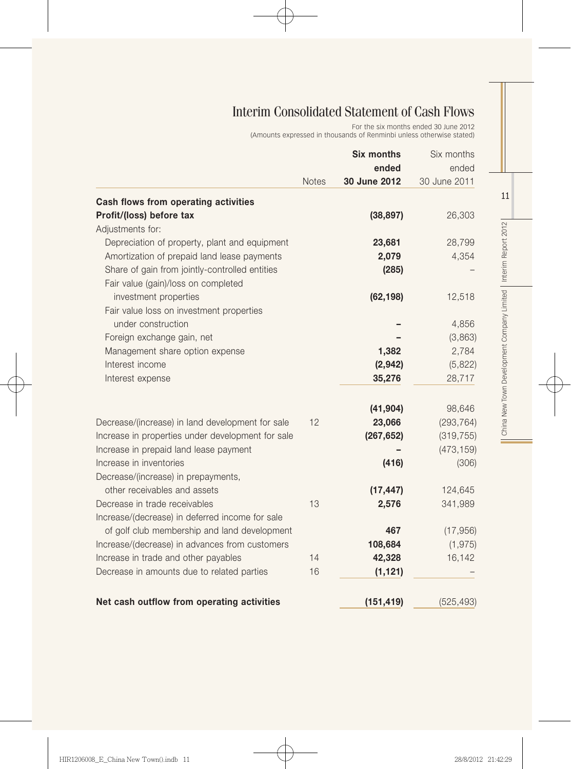# Interim Consolidated Statement of Cash Flows

For the six months ended 30 June 2012 (Amounts expressed in thousands of Renminbi unless otherwise stated)

|                                                   |              | <b>Six months</b> | Six months   |
|---------------------------------------------------|--------------|-------------------|--------------|
|                                                   |              | ended             | ended        |
|                                                   | <b>Notes</b> | 30 June 2012      | 30 June 2011 |
| Cash flows from operating activities              |              |                   |              |
| Profit/(loss) before tax                          |              | (38, 897)         | 26,303       |
| Adjustments for:                                  |              |                   |              |
| Depreciation of property, plant and equipment     |              | 23,681            | 28,799       |
| Amortization of prepaid land lease payments       |              | 2,079             | 4,354        |
| Share of gain from jointly-controlled entities    |              | (285)             |              |
| Fair value (gain)/loss on completed               |              |                   |              |
| investment properties                             |              | (62, 198)         | 12,518       |
| Fair value loss on investment properties          |              |                   |              |
| under construction                                |              |                   | 4,856        |
| Foreign exchange gain, net                        |              |                   | (3,863)      |
| Management share option expense                   |              | 1,382             | 2,784        |
| Interest income                                   |              | (2,942)           | (5,822)      |
| Interest expense                                  |              | 35,276            | 28,717       |
|                                                   |              | (41, 904)         | 98,646       |
| Decrease/(increase) in land development for sale  | 12           | 23,066            | (293, 764)   |
| Increase in properties under development for sale |              | (267, 652)        | (319, 755)   |
| Increase in prepaid land lease payment            |              |                   | (473, 159)   |
| Increase in inventories                           |              | (416)             | (306)        |
| Decrease/(increase) in prepayments,               |              |                   |              |
| other receivables and assets                      |              | (17, 447)         | 124,645      |
| Decrease in trade receivables                     | 13           | 2,576             | 341,989      |
| Increase/(decrease) in deferred income for sale   |              |                   |              |
| of golf club membership and land development      |              | 467               | (17, 956)    |
| Increase/(decrease) in advances from customers    |              | 108,684           | (1, 975)     |
| Increase in trade and other payables              | 14           | 42,328            | 16,142       |
| Decrease in amounts due to related parties        | 16           | (1, 121)          |              |
| Net cash outflow from operating activities        |              | (151, 419)        | (525, 493)   |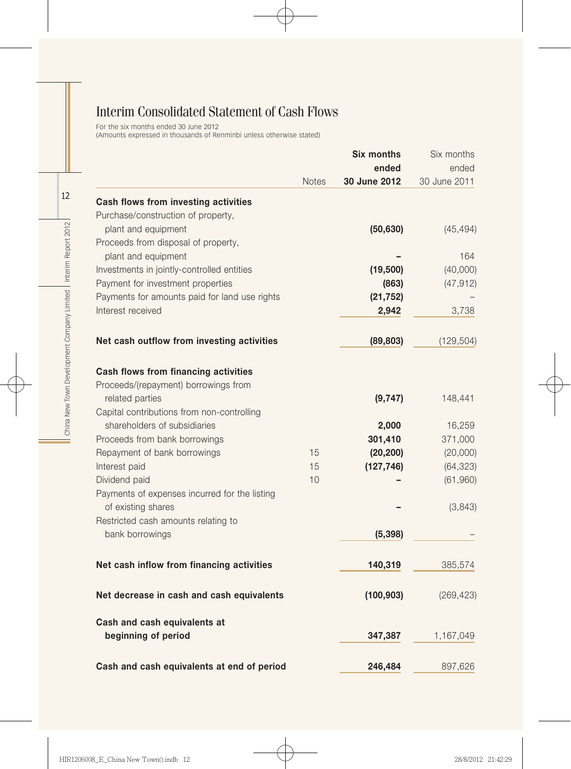# Interim Consolidated Statement of Cash Flows

For the six months ended 30 June 2012 (Amounts expressed in thousands of Renminbi unless otherwise stated)

|                                               |              | <b>Six months</b> | Six months   |
|-----------------------------------------------|--------------|-------------------|--------------|
|                                               |              | ended             | ended        |
|                                               | <b>Notes</b> | 30 June 2012      | 30 June 2011 |
| Cash flows from investing activities          |              |                   |              |
| Purchase/construction of property,            |              |                   |              |
| plant and equipment                           |              | (50, 630)         | (45, 494)    |
| Proceeds from disposal of property,           |              |                   |              |
| plant and equipment                           |              |                   | 164          |
| Investments in jointly-controlled entities    |              | (19,500)          | (40,000)     |
| Payment for investment properties             |              | (863)             | (47, 912)    |
| Payments for amounts paid for land use rights |              | (21, 752)         |              |
| Interest received                             |              | 2,942             | 3,738        |
| Net cash outflow from investing activities    |              | (89, 803)         | (129, 504)   |
| Cash flows from financing activities          |              |                   |              |
| Proceeds/(repayment) borrowings from          |              |                   |              |
| related parties                               |              | (9,747)           | 148,441      |
| Capital contributions from non-controlling    |              |                   |              |
| shareholders of subsidiaries                  |              | 2,000             | 16,259       |
| Proceeds from bank borrowings                 |              | 301,410           | 371,000      |
| Repayment of bank borrowings                  | 15           | (20, 200)         | (20,000)     |
| Interest paid                                 | 15           | (127, 746)        | (64, 323)    |
| Dividend paid                                 | 10           |                   | (61,960)     |
| Payments of expenses incurred for the listing |              |                   |              |
| of existing shares                            |              |                   | (3,843)      |
| Restricted cash amounts relating to           |              |                   |              |
| bank borrowings                               |              | (5, 398)          |              |
| Net cash inflow from financing activities     |              | 140,319           | 385,574      |
| Net decrease in cash and cash equivalents     |              | (100, 903)        | (269, 423)   |
| Cash and cash equivalents at                  |              |                   |              |
| beginning of period                           |              | 347,387           | 1,167,049    |
| Cash and cash equivalents at end of period    |              | 246,484           | 897,626      |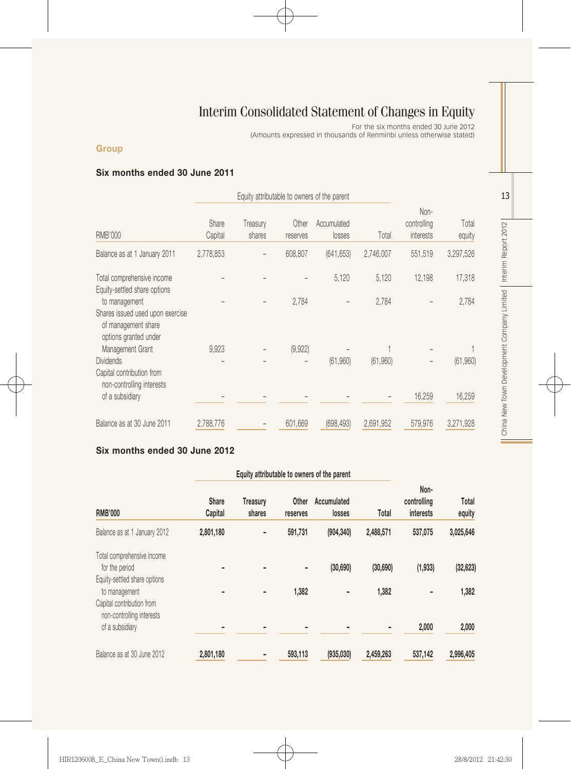# Interim Consolidated Statement of Changes in Equity

For the six months ended 30 June 2012

(Amounts expressed in thousands of Renminbi unless otherwise stated)

#### **Group**

#### Six months ended 30 June 2011

|                                                                                                   | Equity attributable to owners of the parent |                    |                   |                       |           |                                  |                 |
|---------------------------------------------------------------------------------------------------|---------------------------------------------|--------------------|-------------------|-----------------------|-----------|----------------------------------|-----------------|
| <b>RMB'000</b>                                                                                    | Share<br>Capital                            | Treasury<br>shares | Other<br>reserves | Accumulated<br>losses | Total     | Non-<br>controlling<br>interests | Total<br>equity |
| Balance as at 1 January 2011                                                                      | 2,778,853                                   |                    | 608,807           | (641, 653)            | 2,746,007 | 551,519                          | 3,297,526       |
| Total comprehensive income<br>Equity-settled share options                                        |                                             |                    |                   | 5,120                 | 5,120     | 12,198                           | 17,318          |
| to management<br>Shares issued used upon exercise<br>of management share<br>options granted under |                                             |                    | 2,784             |                       | 2,784     |                                  | 2,784           |
| Management Grant<br><b>Dividends</b><br>Capital contribution from<br>non-controlling interests    | 9,923                                       |                    | (9,922)           | (61,960)              | (61,960)  |                                  | (61,960)        |
| of a subsidiary                                                                                   |                                             |                    |                   |                       |           | 16,259                           | 16,259          |
| Balance as at 30 June 2011                                                                        | 2,788,776                                   |                    | 601,669           | (698, 493)            | 2,691,952 | 579,976                          | 3,271,928       |

## Six months ended 30 June 2012

| Equity attributable to owners of the parent                                |                         |                    |                   |                       |           |                                  |                 |
|----------------------------------------------------------------------------|-------------------------|--------------------|-------------------|-----------------------|-----------|----------------------------------|-----------------|
| <b>RMB'000</b>                                                             | <b>Share</b><br>Capital | Treasury<br>shares | Other<br>reserves | Accumulated<br>losses | Total     | Non-<br>controlling<br>interests | Total<br>equity |
| Balance as at 1 January 2012                                               | 2,801,180               |                    | 591,731           | (904, 340)            | 2,488,571 | 537,075                          | 3,025,646       |
| Total comprehensive income<br>for the period                               |                         |                    | -                 | (30, 690)             | (30, 690) | (1,933)                          | (32, 623)       |
| Equity-settled share options<br>to management<br>Capital contribution from |                         |                    | 1,382             |                       | 1,382     |                                  | 1,382           |
| non-controlling interests<br>of a subsidiary                               |                         |                    |                   |                       |           | 2,000                            | 2,000           |
| Balance as at 30 June 2012                                                 | 2,801,180               |                    | 593,113           | (935,030)             | 2.459.263 | 537,142                          | 2.996.405       |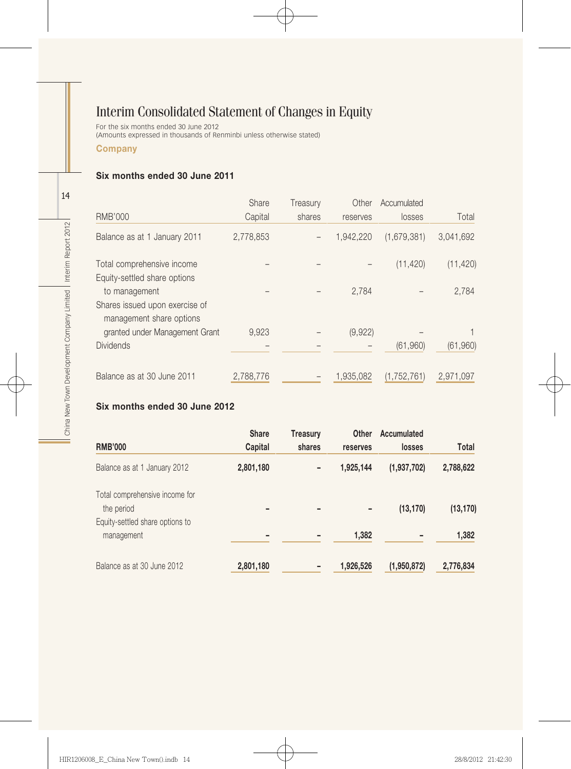# Interim Consolidated Statement of Changes in Equity

For the six months ended 30 June 2012 (Amounts expressed in thousands of Renminbi unless otherwise stated)

#### **Company**

#### Six months ended 30 June 2011

|                                                            | Share     | Treasury | Other     | Accumulated |           |
|------------------------------------------------------------|-----------|----------|-----------|-------------|-----------|
| <b>RMB'000</b>                                             | Capital   | shares   | reserves  | losses      | Total     |
| Balance as at 1 January 2011                               | 2,778,853 |          | 1.942.220 | (1,679,381) | 3,041,692 |
| Total comprehensive income                                 |           |          |           | (11, 420)   | (11, 420) |
| Equity-settled share options                               |           |          |           |             |           |
| to management                                              |           |          | 2,784     |             | 2,784     |
| Shares issued upon exercise of<br>management share options |           |          |           |             |           |
| granted under Management Grant                             | 9,923     |          | (9,922)   |             |           |
| <b>Dividends</b>                                           |           |          |           | (61,960)    | (61,960)  |
| Balance as at 30 June 2011                                 | 2,788,776 |          | 1.935.082 | (1,752,761) | 2,971,097 |

#### Six months ended 30 June 2012

| <b>RMB'000</b>                                | <b>Share</b><br>Capital | <b>Treasury</b><br>shares | Other<br>reserves | Accumulated<br>losses | Total     |
|-----------------------------------------------|-------------------------|---------------------------|-------------------|-----------------------|-----------|
| Balance as at 1 January 2012                  | 2,801,180               |                           | 1,925,144         | (1,937,702)           | 2,788,622 |
| Total comprehensive income for<br>the period  |                         |                           | -                 | (13, 170)             | (13, 170) |
| Equity-settled share options to<br>management |                         |                           | 1,382             |                       | 1,382     |
| Balance as at 30 June 2012                    | 2,801,180               |                           | 1,926,526         | (1,950,872)           | 2,776,834 |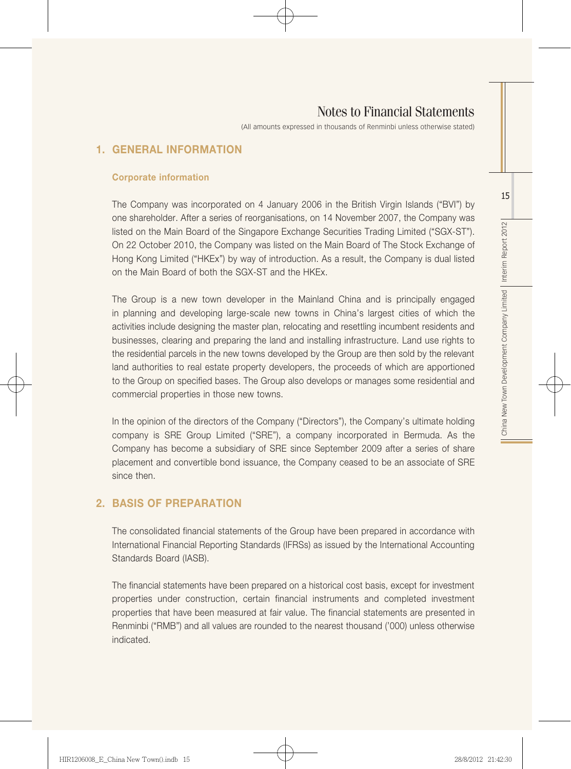(All amounts expressed in thousands of Renminbi unless otherwise stated)

## 1. GENERAL INFORMATION

#### Corporate information

The Company was incorporated on 4 January 2006 in the British Virgin Islands ("BVI") by one shareholder. After a series of reorganisations, on 14 November 2007, the Company was listed on the Main Board of the Singapore Exchange Securities Trading Limited ("SGX-ST"). On 22 October 2010, the Company was listed on the Main Board of The Stock Exchange of Hong Kong Limited ("HKEx") by way of introduction. As a result, the Company is dual listed on the Main Board of both the SGX-ST and the HKEx.

The Group is a new town developer in the Mainland China and is principally engaged in planning and developing large-scale new towns in China's largest cities of which the activities include designing the master plan, relocating and resettling incumbent residents and businesses, clearing and preparing the land and installing infrastructure. Land use rights to the residential parcels in the new towns developed by the Group are then sold by the relevant land authorities to real estate property developers, the proceeds of which are apportioned to the Group on specified bases. The Group also develops or manages some residential and commercial properties in those new towns.

In the opinion of the directors of the Company ("Directors"), the Company's ultimate holding company is SRE Group Limited ("SRE"), a company incorporated in Bermuda. As the Company has become a subsidiary of SRE since September 2009 after a series of share placement and convertible bond issuance, the Company ceased to be an associate of SRE since then.

## 2. BASIS OF PREPARATION

The consolidated financial statements of the Group have been prepared in accordance with International Financial Reporting Standards (IFRSs) as issued by the International Accounting Standards Board (IASB).

The financial statements have been prepared on a historical cost basis, except for investment properties under construction, certain financial instruments and completed investment properties that have been measured at fair value. The financial statements are presented in Renminbi ("RMB") and all values are rounded to the nearest thousand ('000) unless otherwise indicated.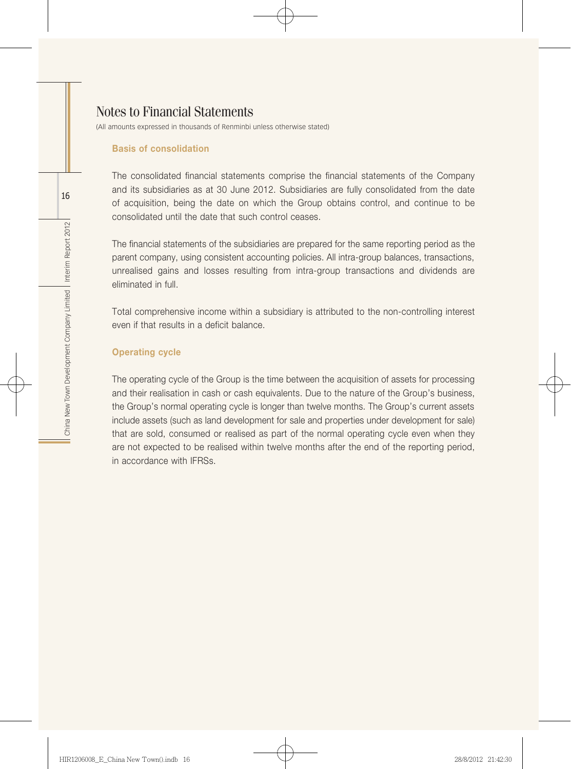(All amounts expressed in thousands of Renminbi unless otherwise stated)

#### Basis of consolidation

The consolidated financial statements comprise the financial statements of the Company and its subsidiaries as at 30 June 2012. Subsidiaries are fully consolidated from the date of acquisition, being the date on which the Group obtains control, and continue to be consolidated until the date that such control ceases.

The financial statements of the subsidiaries are prepared for the same reporting period as the parent company, using consistent accounting policies. All intra-group balances, transactions, unrealised gains and losses resulting from intra-group transactions and dividends are eliminated in full.

Total comprehensive income within a subsidiary is attributed to the non-controlling interest even if that results in a deficit balance.

#### Operating cycle

The operating cycle of the Group is the time between the acquisition of assets for processing and their realisation in cash or cash equivalents. Due to the nature of the Group's business, the Group's normal operating cycle is longer than twelve months. The Group's current assets include assets (such as land development for sale and properties under development for sale) that are sold, consumed or realised as part of the normal operating cycle even when they are not expected to be realised within twelve months after the end of the reporting period, in accordance with IFRSs.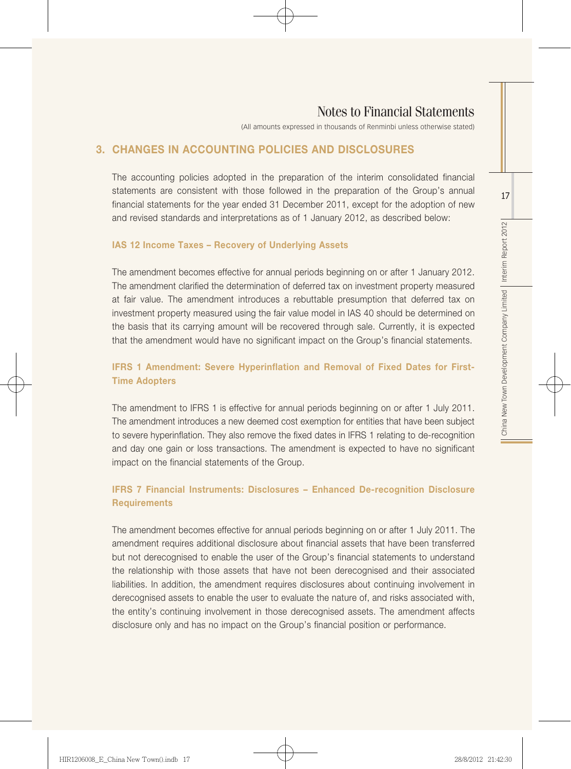(All amounts expressed in thousands of Renminbi unless otherwise stated)

#### 3. CHANGES IN ACCOUNTING POLICIES AND DISCLOSURES

The accounting policies adopted in the preparation of the interim consolidated financial statements are consistent with those followed in the preparation of the Group's annual financial statements for the year ended 31 December 2011, except for the adoption of new and revised standards and interpretations as of 1 January 2012, as described below:

#### IAS 12 Income Taxes – Recovery of Underlying Assets

The amendment becomes effective for annual periods beginning on or after 1 January 2012. The amendment clarified the determination of deferred tax on investment property measured at fair value. The amendment introduces a rebuttable presumption that deferred tax on investment property measured using the fair value model in IAS 40 should be determined on the basis that its carrying amount will be recovered through sale. Currently, it is expected that the amendment would have no significant impact on the Group's financial statements.

#### IFRS 1 Amendment: Severe Hyperinflation and Removal of Fixed Dates for First-Time Adopters

The amendment to IFRS 1 is effective for annual periods beginning on or after 1 July 2011. The amendment introduces a new deemed cost exemption for entities that have been subject to severe hyperinflation. They also remove the fixed dates in IFRS 1 relating to de-recognition and day one gain or loss transactions. The amendment is expected to have no significant impact on the financial statements of the Group.

#### IFRS 7 Financial Instruments: Disclosures – Enhanced De-recognition Disclosure **Requirements**

The amendment becomes effective for annual periods beginning on or after 1 July 2011. The amendment requires additional disclosure about financial assets that have been transferred but not derecognised to enable the user of the Group's financial statements to understand the relationship with those assets that have not been derecognised and their associated liabilities. In addition, the amendment requires disclosures about continuing involvement in derecognised assets to enable the user to evaluate the nature of, and risks associated with, the entity's continuing involvement in those derecognised assets. The amendment affects disclosure only and has no impact on the Group's financial position or performance.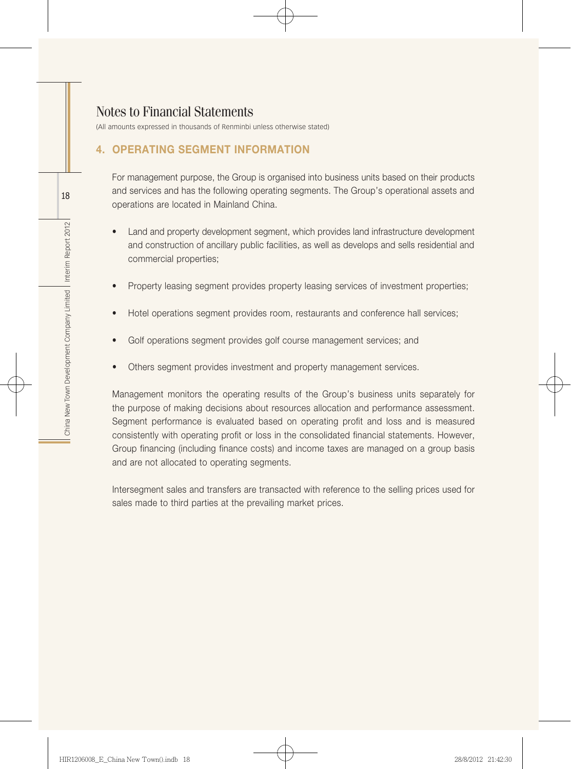(All amounts expressed in thousands of Renminbi unless otherwise stated)

## 4. OPERATING SEGMENT INFORMATION

For management purpose, the Group is organised into business units based on their products and services and has the following operating segments. The Group's operational assets and operations are located in Mainland China.

- Land and property development segment, which provides land infrastructure development and construction of ancillary public facilities, as well as develops and sells residential and commercial properties;
- Property leasing segment provides property leasing services of investment properties;
- Hotel operations segment provides room, restaurants and conference hall services;
- Golf operations segment provides golf course management services; and
- Others segment provides investment and property management services.

Management monitors the operating results of the Group's business units separately for the purpose of making decisions about resources allocation and performance assessment. Segment performance is evaluated based on operating profit and loss and is measured consistently with operating profit or loss in the consolidated financial statements. However, Group financing (including finance costs) and income taxes are managed on a group basis and are not allocated to operating segments.

Intersegment sales and transfers are transacted with reference to the selling prices used for sales made to third parties at the prevailing market prices.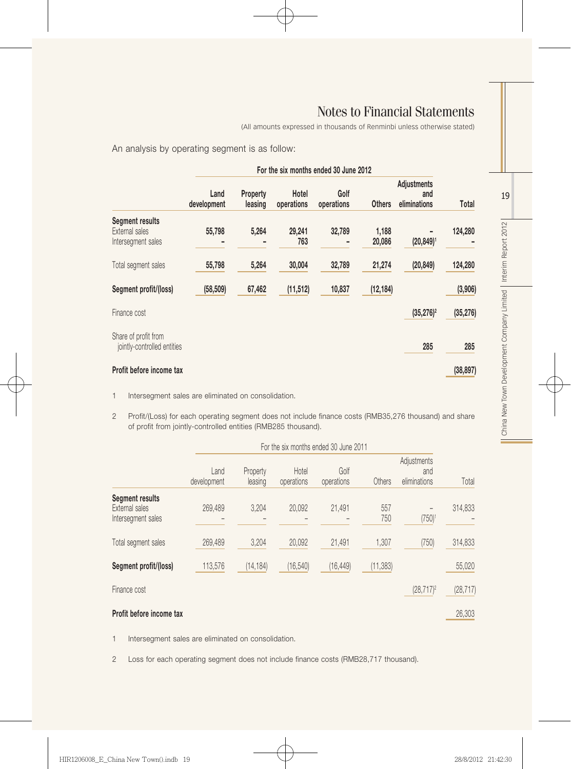(All amounts expressed in thousands of Renminbi unless otherwise stated)

An analysis by operating segment is as follow:

|                                                                | For the six months ended 30 June 2012 |                     |                     |                    |                 |                                    |           |
|----------------------------------------------------------------|---------------------------------------|---------------------|---------------------|--------------------|-----------------|------------------------------------|-----------|
|                                                                | Land<br>development                   | Property<br>leasing | Hotel<br>operations | Golf<br>operations | <b>Others</b>   | Adjustments<br>and<br>eliminations | Total     |
| <b>Segment results</b><br>External sales<br>Intersegment sales | 55,798                                | 5,264               | 29,241<br>763       | 32,789             | 1,188<br>20,086 | $(20, 849)$ <sup>1</sup>           | 124,280   |
| Total segment sales                                            | 55,798                                | 5,264               | 30,004              | 32,789             | 21,274          | (20, 849)                          | 124,280   |
| Segment profit/(loss)                                          | (58, 509)                             | 67,462              | (11, 512)           | 10,837             | (12, 184)       |                                    | (3,906)   |
| Finance cost                                                   |                                       |                     |                     |                    |                 | $(35, 276)^2$                      | (35, 276) |
| Share of profit from<br>jointly-controlled entities            |                                       |                     |                     |                    |                 | 285                                | 285       |
| Profit before income tax                                       |                                       |                     |                     |                    |                 |                                    | (38, 897) |

1 Intersegment sales are eliminated on consolidation.

2 Profit/(Loss) for each operating segment does not include finance costs (RMB35,276 thousand) and share of profit from jointly-controlled entities (RMB285 thousand).

|                                                                | For the six months ended 30 June 2011 |                     |                     |                    |            |                                    |           |
|----------------------------------------------------------------|---------------------------------------|---------------------|---------------------|--------------------|------------|------------------------------------|-----------|
|                                                                | Land<br>development                   | Property<br>leasing | Hotel<br>operations | Golf<br>operations | Others     | Adjustments<br>and<br>eliminations | Total     |
| <b>Segment results</b><br>External sales<br>Intersegment sales | 269.489                               | 3,204               | 20,092              | 21,491             | 557<br>750 | $(750)^1$                          | 314,833   |
| Total segment sales                                            | 269,489                               | 3,204               | 20,092              | 21,491             | 1,307      | (750)                              | 314,833   |
| Segment profit/(loss)                                          | 113,576                               | (14, 184)           | (16, 540)           | (16, 449)          | (11, 383)  |                                    | 55,020    |
| Finance cost                                                   |                                       |                     |                     |                    |            | $(28,717)^2$                       | (28, 717) |
| Profit before income tax                                       |                                       |                     |                     |                    |            |                                    | 26,303    |

1 Intersegment sales are eliminated on consolidation.

2 Loss for each operating segment does not include finance costs (RMB28,717 thousand).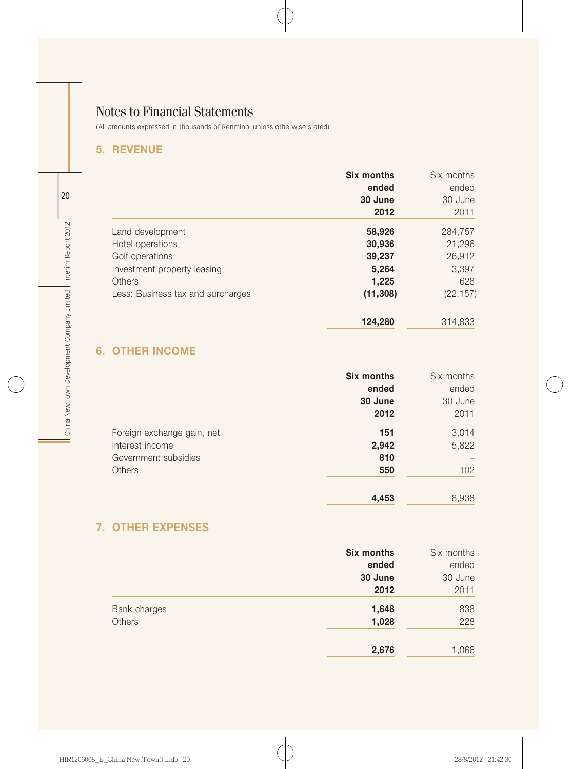(All amounts expressed in thousands of Renminbi unless otherwise stated)

## 5. REVENUE

|                                   | Six months<br>ended<br>30 June | Six months<br>ended<br>30 June |
|-----------------------------------|--------------------------------|--------------------------------|
|                                   | 2012                           | 2011                           |
| Land development                  | 58,926                         | 284,757                        |
| Hotel operations                  | 30,936                         | 21,296                         |
| Golf operations                   | 39,237                         | 26,912                         |
| Investment property leasing       | 5,264                          | 3,397                          |
| Others                            | 1,225                          | 628                            |
| Less: Business tax and surcharges | (11, 308)                      | (22, 157)                      |
|                                   | 124,280                        | 314,833                        |

## 6. OTHER INCOME

|                            | <b>Six months</b> | Six months |
|----------------------------|-------------------|------------|
|                            | ended             | ended      |
|                            | 30 June           | 30 June    |
|                            | 2012              | 2011       |
| Foreign exchange gain, net | 151               | 3,014      |
| Interest income            | 2,942             | 5,822      |
| Government subsidies       | 810               |            |
| Others                     | 550               | 102        |
|                            | 4,453             | 8,938      |

## 7. OTHER EXPENSES

|              | <b>Six months</b> | Six months |
|--------------|-------------------|------------|
|              | ended             | ended      |
|              | 30 June           | 30 June    |
|              | 2012              | 2011       |
| Bank charges | 1,648             | 838        |
| Others       | 1,028             | 228        |
|              |                   |            |
|              | 2,676             | 1,066      |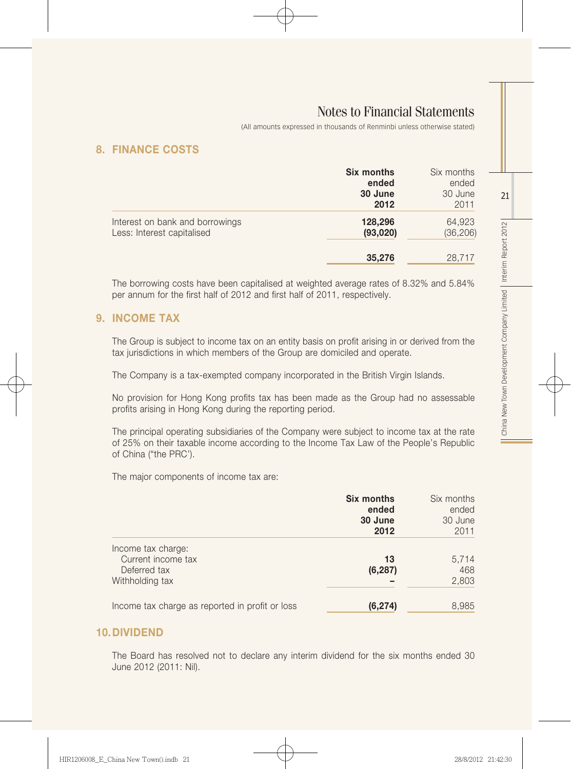(All amounts expressed in thousands of Renminbi unless otherwise stated)

## 8. FINANCE COSTS

|                                                               | Six months<br>ended<br>30 June<br>2012 | Six months<br>ended<br>30 June<br>2011 |
|---------------------------------------------------------------|----------------------------------------|----------------------------------------|
| Interest on bank and borrowings<br>Less: Interest capitalised | 128,296<br>(93,020)                    | 64,923<br>(36, 206)                    |
|                                                               | 35,276                                 | 28,717                                 |

The borrowing costs have been capitalised at weighted average rates of 8.32% and 5.84% per annum for the first half of 2012 and first half of 2011, respectively.

#### 9. INCOME TAX

The Group is subject to income tax on an entity basis on profit arising in or derived from the tax jurisdictions in which members of the Group are domiciled and operate.

The Company is a tax-exempted company incorporated in the British Virgin Islands.

No provision for Hong Kong profits tax has been made as the Group had no assessable profits arising in Hong Kong during the reporting period.

The principal operating subsidiaries of the Company were subject to income tax at the rate of 25% on their taxable income according to the Income Tax Law of the People's Republic of China ("the PRC').

The major components of income tax are:

|                                                                             | Six months<br>ended<br>30 June<br>2012 | Six months<br>ended<br>30 June<br>2011 |
|-----------------------------------------------------------------------------|----------------------------------------|----------------------------------------|
| Income tax charge:<br>Current income tax<br>Deferred tax<br>Withholding tax | 13<br>(6, 287)                         | 5,714<br>468<br>2,803                  |
| Income tax charge as reported in profit or loss                             | (6, 274)                               | 8,985                                  |

#### 10.DIVIDEND

The Board has resolved not to declare any interim dividend for the six months ended 30 June 2012 (2011: Nil).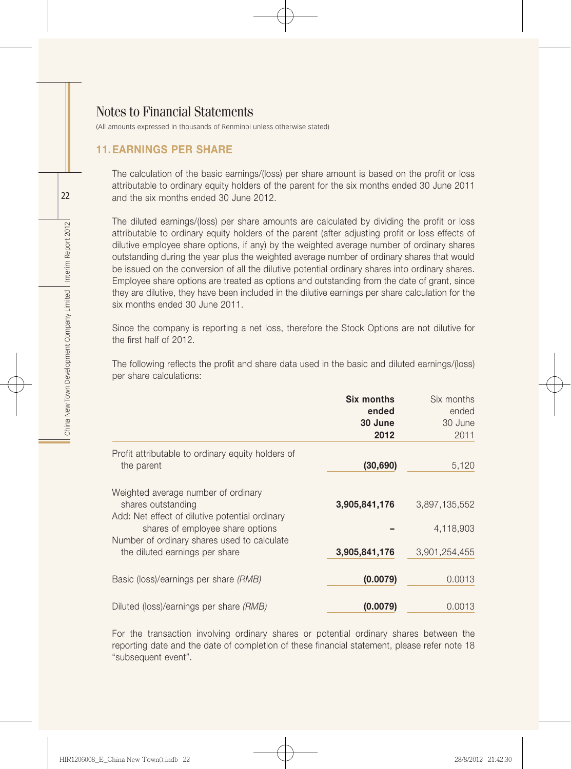(All amounts expressed in thousands of Renminbi unless otherwise stated)

#### 11.EARNINGS PER SHARE

The calculation of the basic earnings/(loss) per share amount is based on the profit or loss attributable to ordinary equity holders of the parent for the six months ended 30 June 2011 and the six months ended 30 June 2012.

The diluted earnings/(loss) per share amounts are calculated by dividing the profit or loss attributable to ordinary equity holders of the parent (after adjusting profit or loss effects of dilutive employee share options, if any) by the weighted average number of ordinary shares outstanding during the year plus the weighted average number of ordinary shares that would be issued on the conversion of all the dilutive potential ordinary shares into ordinary shares. Employee share options are treated as options and outstanding from the date of grant, since they are dilutive, they have been included in the dilutive earnings per share calculation for the six months ended 30 June 2011.

Since the company is reporting a net loss, therefore the Stock Options are not dilutive for the first half of 2012.

The following reflects the profit and share data used in the basic and diluted earnings/(loss) per share calculations:

|                                                                                                                                                 | <b>Six months</b><br>ended<br>30 June<br>2012 | Six months<br>ended<br>30 June<br>2011 |
|-------------------------------------------------------------------------------------------------------------------------------------------------|-----------------------------------------------|----------------------------------------|
| Profit attributable to ordinary equity holders of<br>the parent                                                                                 | (30, 690)                                     | 5,120                                  |
| Weighted average number of ordinary<br>shares outstanding<br>Add: Net effect of dilutive potential ordinary<br>shares of employee share options | 3,905,841,176                                 | 3,897,135,552<br>4,118,903             |
| Number of ordinary shares used to calculate<br>the diluted earnings per share                                                                   | 3,905,841,176                                 | 3.901.254.455                          |
| Basic (loss)/earnings per share (RMB)                                                                                                           | (0.0079)                                      | 0.0013                                 |
| Diluted (loss)/earnings per share (RMB)                                                                                                         | (0.0079)                                      | 0.0013                                 |

For the transaction involving ordinary shares or potential ordinary shares between the reporting date and the date of completion of these financial statement, please refer note 18 "subsequent event".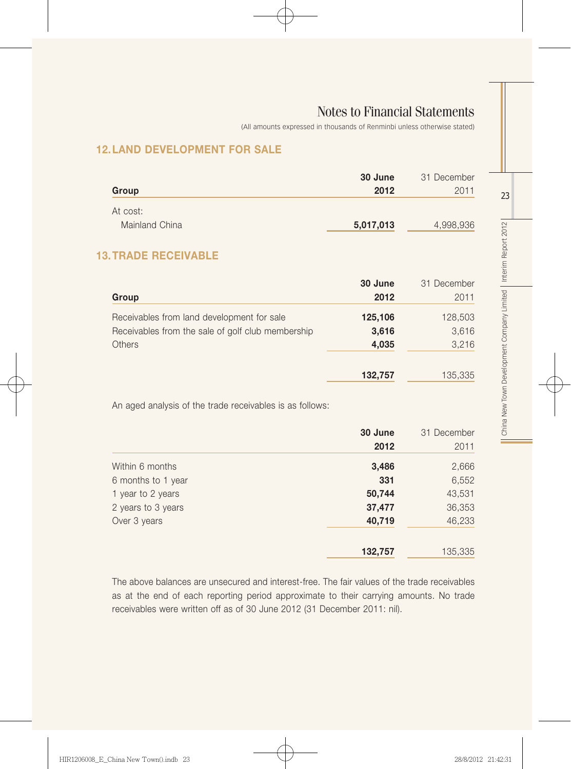(All amounts expressed in thousands of Renminbi unless otherwise stated)

## 12.LAND DEVELOPMENT FOR SALE

|                | 30 June   | 31 December |
|----------------|-----------|-------------|
| Group          | 2012      | 2011        |
| At cost:       |           |             |
| Mainland China | 5,017,013 | 4,998,936   |

## 13.TRADE RECEIVABLE

| Group                                             | 30 June<br>2012 | 31 December<br>2011 |
|---------------------------------------------------|-----------------|---------------------|
| Receivables from land development for sale        | 125,106         | 128,503             |
| Receivables from the sale of golf club membership | 3,616           | 3,616               |
| Others                                            | 4,035           | 3,216               |
|                                                   | 132,757         | 135,335             |

An aged analysis of the trade receivables is as follows:

|                    | 30 June | 31 December |
|--------------------|---------|-------------|
|                    | 2012    | 2011        |
| Within 6 months    | 3,486   | 2,666       |
| 6 months to 1 year | 331     | 6,552       |
| 1 year to 2 years  | 50,744  | 43,531      |
| 2 years to 3 years | 37,477  | 36,353      |
| Over 3 years       | 40,719  | 46,233      |
|                    | 132,757 | 135,335     |

The above balances are unsecured and interest-free. The fair values of the trade receivables as at the end of each reporting period approximate to their carrying amounts. No trade receivables were written off as of 30 June 2012 (31 December 2011: nil).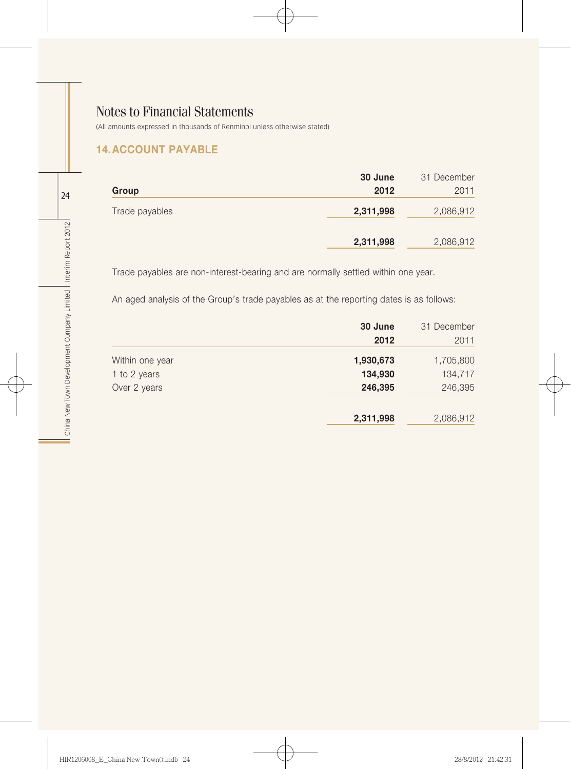(All amounts expressed in thousands of Renminbi unless otherwise stated)

## 14.ACCOUNT PAYABLE

|                | 30 June   | 31 December |
|----------------|-----------|-------------|
| Group          | 2012      | 2011        |
| Trade payables | 2,311,998 | 2,086,912   |
|                | 2,311,998 | 2,086,912   |

Trade payables are non-interest-bearing and are normally settled within one year.

An aged analysis of the Group's trade payables as at the reporting dates is as follows:

|                 | 30 June<br>2012 | 31 December<br>2011 |
|-----------------|-----------------|---------------------|
| Within one year | 1,930,673       | 1,705,800           |
| 1 to 2 years    | 134,930         | 134,717             |
| Over 2 years    | 246,395         | 246,395             |
|                 | 2,311,998       | 2,086,912           |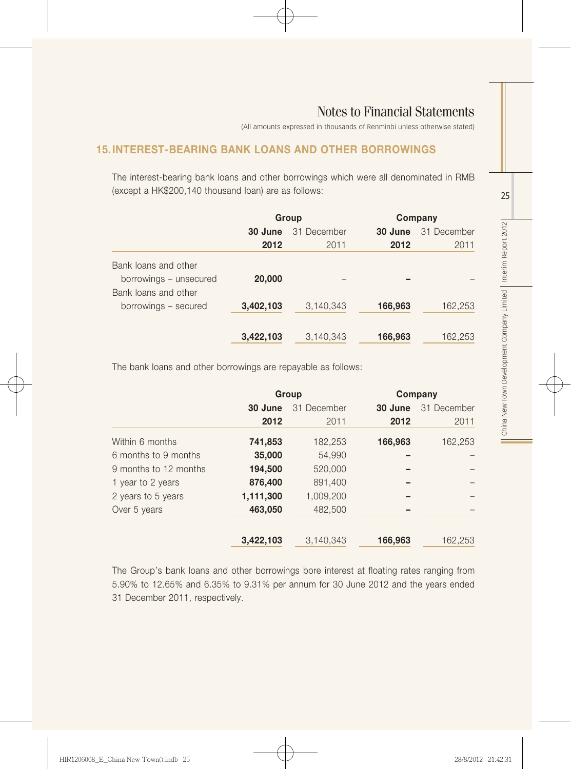(All amounts expressed in thousands of Renminbi unless otherwise stated)

## 15.INTEREST-BEARING BANK LOANS AND OTHER BORROWINGS

The interest-bearing bank loans and other borrowings which were all denominated in RMB (except a HK\$200,140 thousand loan) are as follows:

|                        | Group     |             | Company |             |
|------------------------|-----------|-------------|---------|-------------|
|                        | 30 June   | 31 December | 30 June | 31 December |
|                        | 2012      | 2011        | 2012    | 2011        |
| Bank loans and other   |           |             |         |             |
| borrowings - unsecured | 20,000    |             |         |             |
| Bank loans and other   |           |             |         |             |
| borrowings - secured   | 3,402,103 | 3,140,343   | 166,963 | 162,253     |
|                        |           |             |         |             |
|                        | 3,422,103 | 3,140,343   | 166,963 | 162,253     |

The bank loans and other borrowings are repayable as follows:

|                       | Group     |             |         | Company     |
|-----------------------|-----------|-------------|---------|-------------|
|                       | 30 June   | 31 December | 30 June | 31 December |
|                       | 2012      | 2011        | 2012    | 2011        |
| Within 6 months       | 741,853   | 182,253     | 166,963 | 162,253     |
| 6 months to 9 months  | 35,000    | 54,990      |         |             |
| 9 months to 12 months | 194,500   | 520,000     |         |             |
| 1 year to 2 years     | 876,400   | 891,400     |         |             |
| 2 years to 5 years    | 1,111,300 | 1,009,200   |         |             |
| Over 5 years          | 463,050   | 482,500     |         |             |
|                       | 3,422,103 | 3,140,343   | 166,963 | 162,253     |

The Group's bank loans and other borrowings bore interest at floating rates ranging from 5.90% to 12.65% and 6.35% to 9.31% per annum for 30 June 2012 and the years ended 31 December 2011, respectively.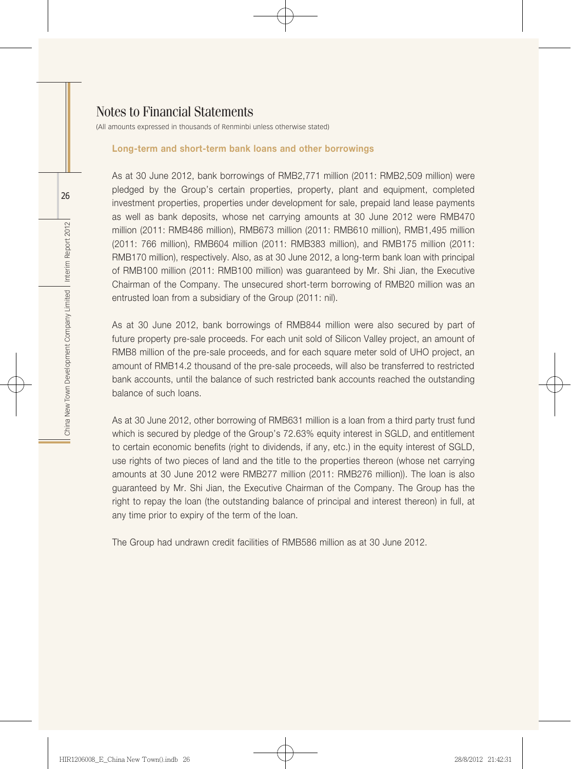(All amounts expressed in thousands of Renminbi unless otherwise stated)

#### Long-term and short-term bank loans and other borrowings

As at 30 June 2012, bank borrowings of RMB2,771 million (2011: RMB2,509 million) were pledged by the Group's certain properties, property, plant and equipment, completed investment properties, properties under development for sale, prepaid land lease payments as well as bank deposits, whose net carrying amounts at 30 June 2012 were RMB470 million (2011: RMB486 million), RMB673 million (2011: RMB610 million), RMB1,495 million (2011: 766 million), RMB604 million (2011: RMB383 million), and RMB175 million (2011: RMB170 million), respectively. Also, as at 30 June 2012, a long-term bank loan with principal of RMB100 million (2011: RMB100 million) was guaranteed by Mr. Shi Jian, the Executive Chairman of the Company. The unsecured short-term borrowing of RMB20 million was an entrusted loan from a subsidiary of the Group (2011: nil).

As at 30 June 2012, bank borrowings of RMB844 million were also secured by part of future property pre-sale proceeds. For each unit sold of Silicon Valley project, an amount of RMB8 million of the pre-sale proceeds, and for each square meter sold of UHO project, an amount of RMB14.2 thousand of the pre-sale proceeds, will also be transferred to restricted bank accounts, until the balance of such restricted bank accounts reached the outstanding balance of such loans.

As at 30 June 2012, other borrowing of RMB631 million is a loan from a third party trust fund which is secured by pledge of the Group's 72.63% equity interest in SGLD, and entitlement to certain economic benefits (right to dividends, if any, etc.) in the equity interest of SGLD, use rights of two pieces of land and the title to the properties thereon (whose net carrying amounts at 30 June 2012 were RMB277 million (2011: RMB276 million)). The loan is also guaranteed by Mr. Shi Jian, the Executive Chairman of the Company. The Group has the right to repay the loan (the outstanding balance of principal and interest thereon) in full, at any time prior to expiry of the term of the loan.

The Group had undrawn credit facilities of RMB586 million as at 30 June 2012.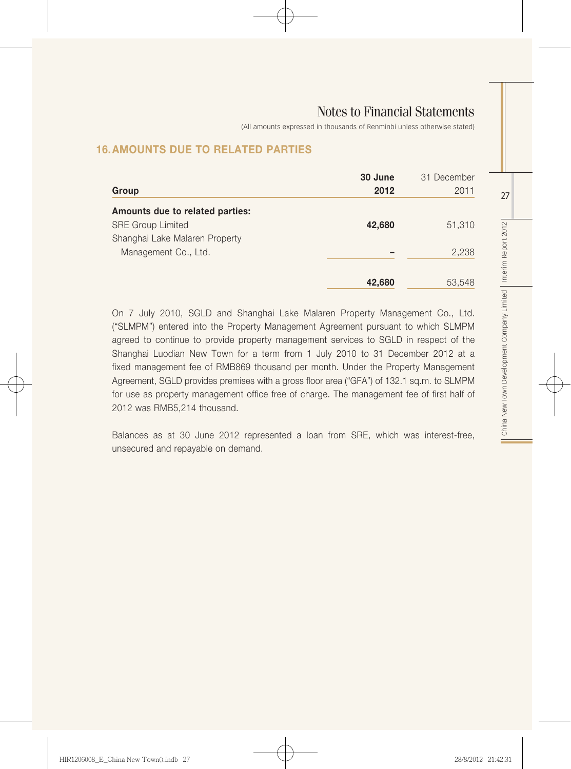(All amounts expressed in thousands of Renminbi unless otherwise stated)

## 16.AMOUNTS DUE TO RELATED PARTIES

| Group                           | 30 June<br>2012 | 31 December<br>2011 |
|---------------------------------|-----------------|---------------------|
| Amounts due to related parties: |                 |                     |
| <b>SRE Group Limited</b>        | 42,680          | 51,310              |
| Shanghai Lake Malaren Property  |                 |                     |
| Management Co., Ltd.            |                 | 2,238               |
|                                 |                 |                     |
|                                 | 42,680          | 53,548              |

On 7 July 2010, SGLD and Shanghai Lake Malaren Property Management Co., Ltd. ("SLMPM") entered into the Property Management Agreement pursuant to which SLMPM agreed to continue to provide property management services to SGLD in respect of the Shanghai Luodian New Town for a term from 1 July 2010 to 31 December 2012 at a fixed management fee of RMB869 thousand per month. Under the Property Management Agreement, SGLD provides premises with a gross floor area ("GFA") of 132.1 sq.m. to SLMPM for use as property management office free of charge. The management fee of first half of 2012 was RMB5,214 thousand.

Balances as at 30 June 2012 represented a loan from SRE, which was interest-free, unsecured and repayable on demand.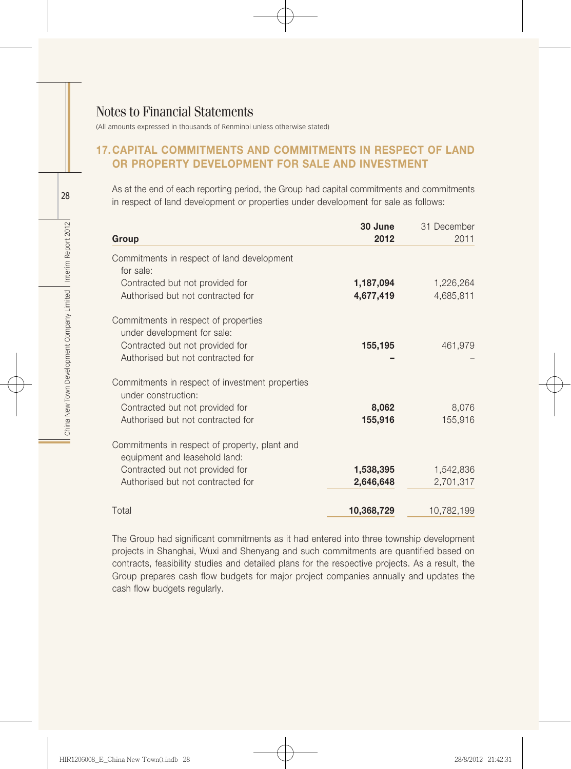(All amounts expressed in thousands of Renminbi unless otherwise stated)

#### 17.CAPITAL COMMITMENTS AND COMMITMENTS IN RESPECT OF LAND OR PROPERTY DEVELOPMENT FOR SALE AND INVESTMENT

As at the end of each reporting period, the Group had capital commitments and commitments in respect of land development or properties under development for sale as follows:

| Group                                                                          | 30 June<br>2012        | 31 December<br>2011    |
|--------------------------------------------------------------------------------|------------------------|------------------------|
| Commitments in respect of land development<br>for sale:                        |                        |                        |
| Contracted but not provided for<br>Authorised but not contracted for           | 1,187,094<br>4,677,419 | 1,226,264<br>4,685,811 |
| Commitments in respect of properties<br>under development for sale:            |                        |                        |
| Contracted but not provided for<br>Authorised but not contracted for           | 155,195                | 461,979                |
| Commitments in respect of investment properties<br>under construction:         |                        |                        |
| Contracted but not provided for<br>Authorised but not contracted for           | 8,062<br>155,916       | 8,076<br>155,916       |
| Commitments in respect of property, plant and<br>equipment and leasehold land: |                        |                        |
| Contracted but not provided for                                                | 1,538,395              | 1,542,836              |
| Authorised but not contracted for                                              | 2,646,648              | 2,701,317              |
| Total                                                                          | 10,368,729             | 10,782,199             |

The Group had significant commitments as it had entered into three township development projects in Shanghai, Wuxi and Shenyang and such commitments are quantified based on contracts, feasibility studies and detailed plans for the respective projects. As a result, the Group prepares cash flow budgets for major project companies annually and updates the cash flow budgets regularly.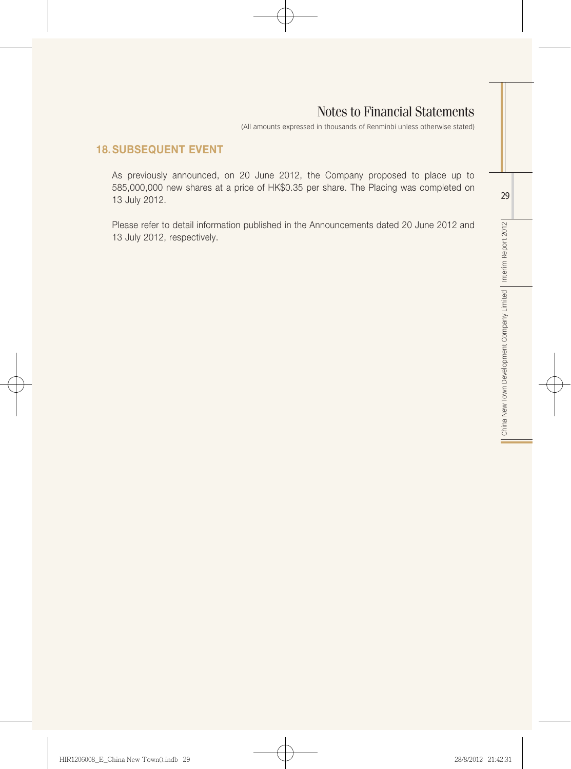(All amounts expressed in thousands of Renminbi unless otherwise stated)

## 18.SUBSEQUENT EVENT

As previously announced, on 20 June 2012, the Company proposed to place up to 585,000,000 new shares at a price of HK\$0.35 per share. The Placing was completed on 13 July 2012.

Please refer to detail information published in the Announcements dated 20 June 2012 and 13 July 2012, respectively.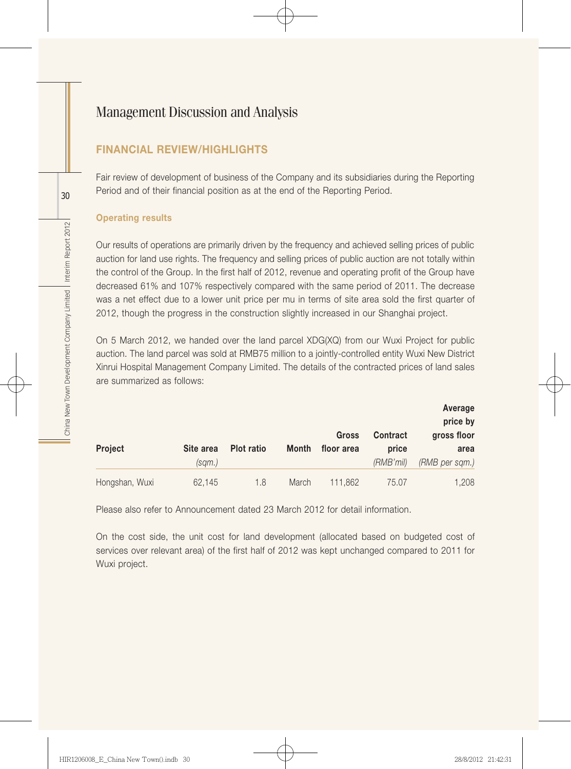## FINANCIAL REVIEW/HIGHLIGHTS

Fair review of development of business of the Company and its subsidiaries during the Reporting Period and of their financial position as at the end of the Reporting Period.

#### Operating results

Our results of operations are primarily driven by the frequency and achieved selling prices of public auction for land use rights. The frequency and selling prices of public auction are not totally within the control of the Group. In the first half of 2012, revenue and operating profit of the Group have decreased 61% and 107% respectively compared with the same period of 2011. The decrease was a net effect due to a lower unit price per mu in terms of site area sold the first quarter of 2012, though the progress in the construction slightly increased in our Shanghai project.

On 5 March 2012, we handed over the land parcel XDG(XQ) from our Wuxi Project for public auction. The land parcel was sold at RMB75 million to a jointly-controlled entity Wuxi New District Xinrui Hospital Management Company Limited. The details of the contracted prices of land sales are summarized as follows:

|                |           |            |       |            |           | Average<br>price by |
|----------------|-----------|------------|-------|------------|-----------|---------------------|
|                |           |            |       | Gross      | Contract  | gross floor         |
| Project        | Site area | Plot ratio | Month | floor area | price     | area                |
|                | (sam.)    |            |       |            | (RMB'mil) | (RMB per sqm.)      |
| Hongshan, Wuxi | 62,145    | 1.8        | March | 111.862    | 75.07     | 1,208               |

Please also refer to Announcement dated 23 March 2012 for detail information.

On the cost side, the unit cost for land development (allocated based on budgeted cost of services over relevant area) of the first half of 2012 was kept unchanged compared to 2011 for Wuxi project.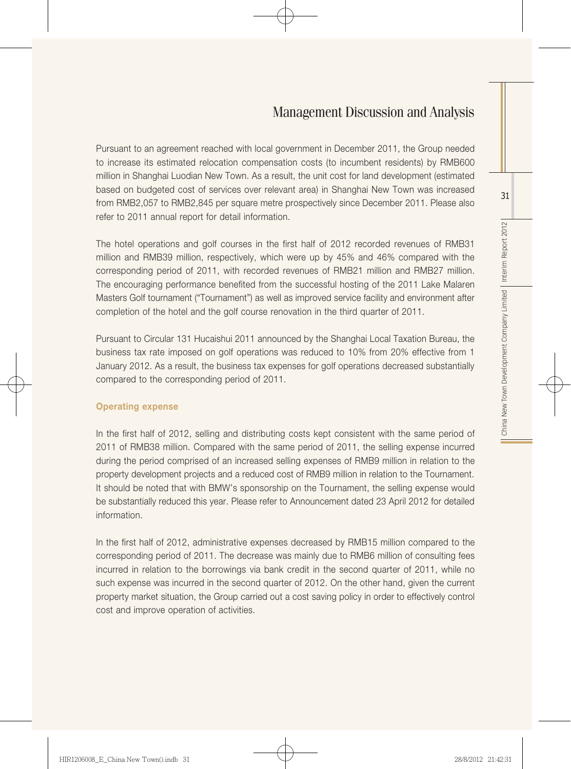Pursuant to an agreement reached with local government in December 2011, the Group needed to increase its estimated relocation compensation costs (to incumbent residents) by RMB600 million in Shanghai Luodian New Town. As a result, the unit cost for land development (estimated based on budgeted cost of services over relevant area) in Shanghai New Town was increased from RMB2,057 to RMB2,845 per square metre prospectively since December 2011. Please also refer to 2011 annual report for detail information.

The hotel operations and golf courses in the first half of 2012 recorded revenues of RMB31 million and RMB39 million, respectively, which were up by 45% and 46% compared with the corresponding period of 2011, with recorded revenues of RMB21 million and RMB27 million. The encouraging performance benefited from the successful hosting of the 2011 Lake Malaren Masters Golf tournament ("Tournament") as well as improved service facility and environment after completion of the hotel and the golf course renovation in the third quarter of 2011.

Pursuant to Circular 131 Hucaishui 2011 announced by the Shanghai Local Taxation Bureau, the business tax rate imposed on golf operations was reduced to 10% from 20% effective from 1 January 2012. As a result, the business tax expenses for golf operations decreased substantially compared to the corresponding period of 2011.

#### Operating expense

In the first half of 2012, selling and distributing costs kept consistent with the same period of 2011 of RMB38 million. Compared with the same period of 2011, the selling expense incurred during the period comprised of an increased selling expenses of RMB9 million in relation to the property development projects and a reduced cost of RMB9 million in relation to the Tournament. It should be noted that with BMW's sponsorship on the Tournament, the selling expense would be substantially reduced this year. Please refer to Announcement dated 23 April 2012 for detailed information.

In the first half of 2012, administrative expenses decreased by RMB15 million compared to the corresponding period of 2011. The decrease was mainly due to RMB6 million of consulting fees incurred in relation to the borrowings via bank credit in the second quarter of 2011, while no such expense was incurred in the second quarter of 2012. On the other hand, given the current property market situation, the Group carried out a cost saving policy in order to effectively control cost and improve operation of activities.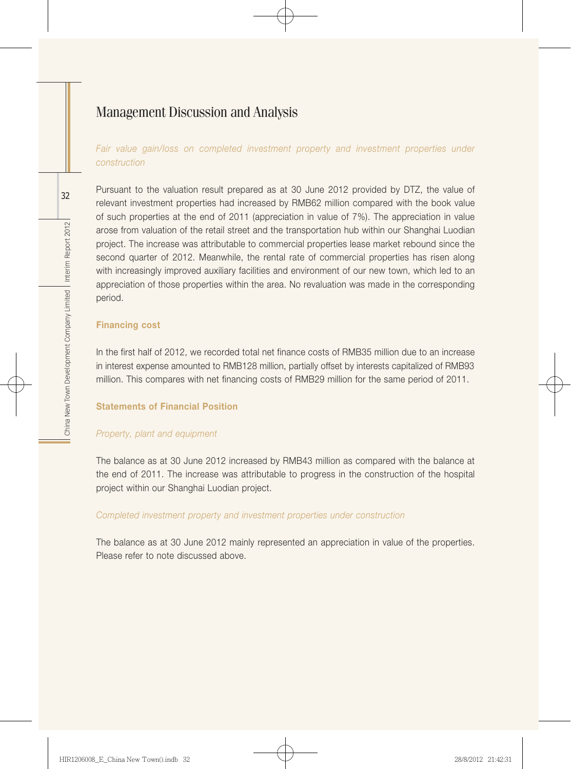Fair value gain/loss on completed investment property and investment properties under *construction*

Pursuant to the valuation result prepared as at 30 June 2012 provided by DTZ, the value of relevant investment properties had increased by RMB62 million compared with the book value of such properties at the end of 2011 (appreciation in value of 7%). The appreciation in value arose from valuation of the retail street and the transportation hub within our Shanghai Luodian project. The increase was attributable to commercial properties lease market rebound since the second quarter of 2012. Meanwhile, the rental rate of commercial properties has risen along with increasingly improved auxiliary facilities and environment of our new town, which led to an appreciation of those properties within the area. No revaluation was made in the corresponding period.

#### Financing cost

In the first half of 2012, we recorded total net finance costs of RMB35 million due to an increase in interest expense amounted to RMB128 million, partially offset by interests capitalized of RMB93 million. This compares with net financing costs of RMB29 million for the same period of 2011.

#### Statements of Financial Position

#### *Property, plant and equipment*

The balance as at 30 June 2012 increased by RMB43 million as compared with the balance at the end of 2011. The increase was attributable to progress in the construction of the hospital project within our Shanghai Luodian project.

#### *Completed investment property and investment properties under construction*

The balance as at 30 June 2012 mainly represented an appreciation in value of the properties. Please refer to note discussed above.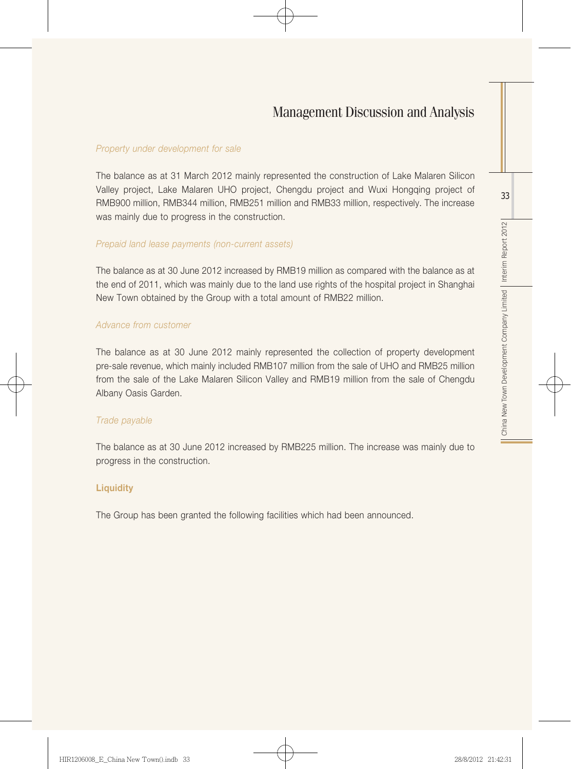#### *Property under development for sale*

The balance as at 31 March 2012 mainly represented the construction of Lake Malaren Silicon Valley project, Lake Malaren UHO project, Chengdu project and Wuxi Hongqing project of RMB900 million, RMB344 million, RMB251 million and RMB33 million, respectively. The increase was mainly due to progress in the construction.

#### *Prepaid land lease payments (non-current assets)*

The balance as at 30 June 2012 increased by RMB19 million as compared with the balance as at the end of 2011, which was mainly due to the land use rights of the hospital project in Shanghai New Town obtained by the Group with a total amount of RMB22 million.

#### *Advance from customer*

The balance as at 30 June 2012 mainly represented the collection of property development pre-sale revenue, which mainly included RMB107 million from the sale of UHO and RMB25 million from the sale of the Lake Malaren Silicon Valley and RMB19 million from the sale of Chengdu Albany Oasis Garden.

#### *Trade payable*

The balance as at 30 June 2012 increased by RMB225 million. The increase was mainly due to progress in the construction.

#### **Liquidity**

The Group has been granted the following facilities which had been announced.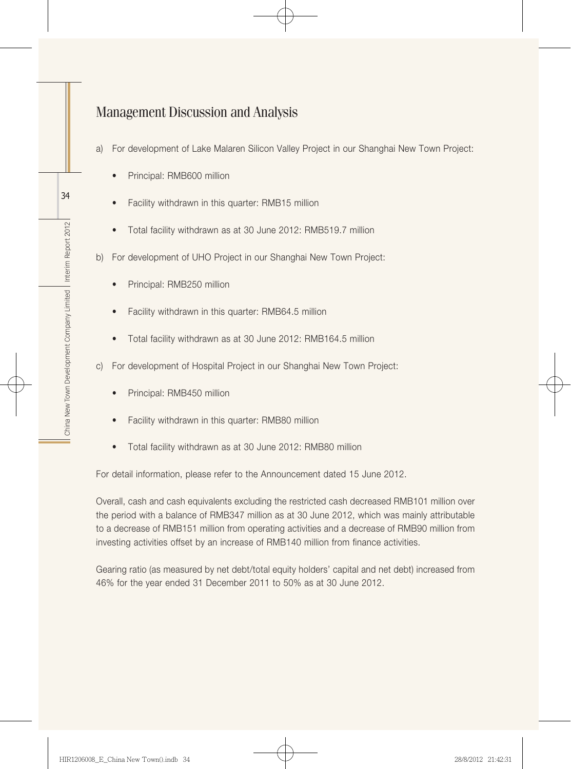- a) For development of Lake Malaren Silicon Valley Project in our Shanghai New Town Project:
	- Principal: RMB600 million
	- Facility withdrawn in this quarter: RMB15 million
	- Total facility withdrawn as at 30 June 2012: RMB519.7 million
- b) For development of UHO Project in our Shanghai New Town Project:
	- Principal: RMB250 million
	- Facility withdrawn in this quarter: RMB64.5 million
	- Total facility withdrawn as at 30 June 2012: RMB164.5 million
- c) For development of Hospital Project in our Shanghai New Town Project:
	- Principal: RMB450 million
	- Facility withdrawn in this quarter: RMB80 million
	- Total facility withdrawn as at 30 June 2012: RMB80 million

For detail information, please refer to the Announcement dated 15 June 2012.

Overall, cash and cash equivalents excluding the restricted cash decreased RMB101 million over the period with a balance of RMB347 million as at 30 June 2012, which was mainly attributable to a decrease of RMB151 million from operating activities and a decrease of RMB90 million from investing activities offset by an increase of RMB140 million from finance activities.

Gearing ratio (as measured by net debt/total equity holders' capital and net debt) increased from 46% for the year ended 31 December 2011 to 50% as at 30 June 2012.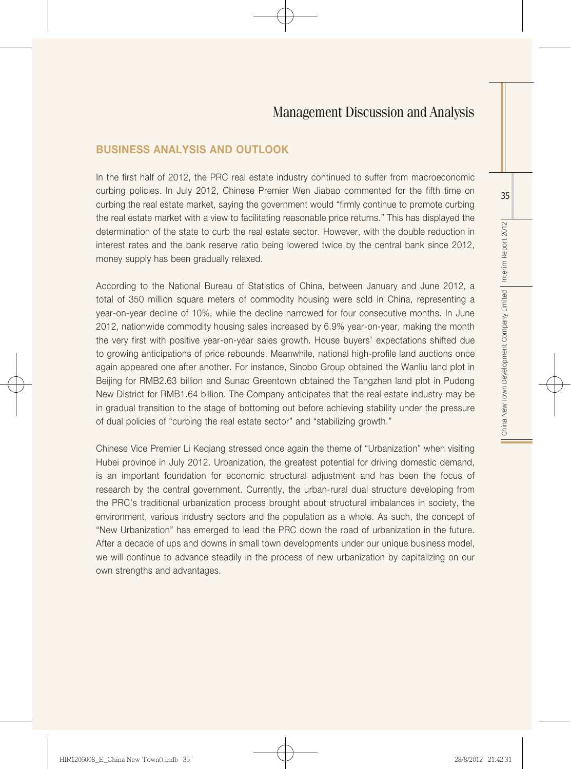#### Business Analysis and Outlook

In the first half of 2012, the PRC real estate industry continued to suffer from macroeconomic curbing policies. In July 2012, Chinese Premier Wen Jiabao commented for the fifth time on curbing the real estate market, saying the government would "firmly continue to promote curbing the real estate market with a view to facilitating reasonable price returns." This has displayed the determination of the state to curb the real estate sector. However, with the double reduction in interest rates and the bank reserve ratio being lowered twice by the central bank since 2012, money supply has been gradually relaxed.

According to the National Bureau of Statistics of China, between January and June 2012, a total of 350 million square meters of commodity housing were sold in China, representing a year-on-year decline of 10%, while the decline narrowed for four consecutive months. In June 2012, nationwide commodity housing sales increased by 6.9% year-on-year, making the month the very first with positive year-on-year sales growth. House buyers' expectations shifted due to growing anticipations of price rebounds. Meanwhile, national high-profile land auctions once again appeared one after another. For instance, Sinobo Group obtained the Wanliu land plot in Beijing for RMB2.63 billion and Sunac Greentown obtained the Tangzhen land plot in Pudong New District for RMB1.64 billion. The Company anticipates that the real estate industry may be in gradual transition to the stage of bottoming out before achieving stability under the pressure of dual policies of "curbing the real estate sector" and "stabilizing growth."

Chinese Vice Premier Li Keqiang stressed once again the theme of "Urbanization" when visiting Hubei province in July 2012. Urbanization, the greatest potential for driving domestic demand, is an important foundation for economic structural adjustment and has been the focus of research by the central government. Currently, the urban-rural dual structure developing from the PRC's traditional urbanization process brought about structural imbalances in society, the environment, various industry sectors and the population as a whole. As such, the concept of "New Urbanization" has emerged to lead the PRC down the road of urbanization in the future. After a decade of ups and downs in small town developments under our unique business model, we will continue to advance steadily in the process of new urbanization by capitalizing on our own strengths and advantages.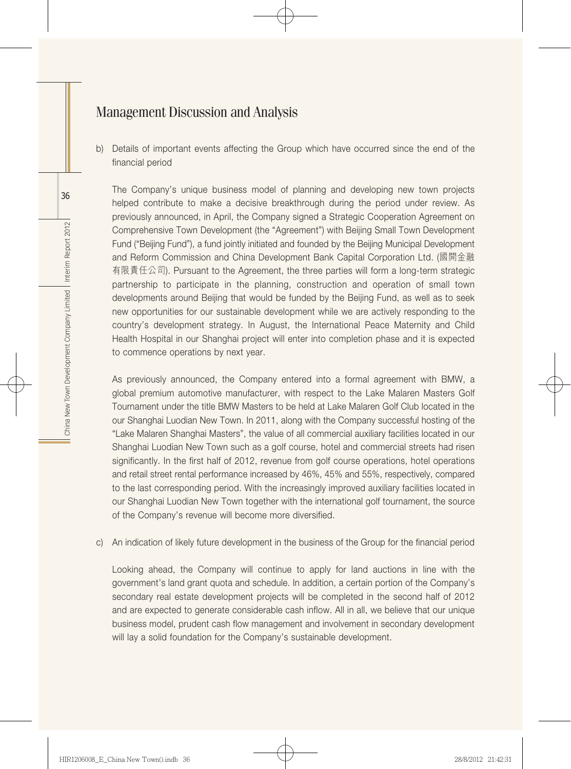b) Details of important events affecting the Group which have occurred since the end of the financial period

The Company's unique business model of planning and developing new town projects helped contribute to make a decisive breakthrough during the period under review. As previously announced, in April, the Company signed a Strategic Cooperation Agreement on Comprehensive Town Development (the "Agreement") with Beijing Small Town Development Fund ("Beijing Fund"), a fund jointly initiated and founded by the Beijing Municipal Development and Reform Commission and China Development Bank Capital Corporation Ltd. (國開金融 有限責任公司). Pursuant to the Agreement, the three parties will form a long-term strategic partnership to participate in the planning, construction and operation of small town developments around Beijing that would be funded by the Beijing Fund, as well as to seek new opportunities for our sustainable development while we are actively responding to the country's development strategy. In August, the International Peace Maternity and Child Health Hospital in our Shanghai project will enter into completion phase and it is expected to commence operations by next year.

As previously announced, the Company entered into a formal agreement with BMW, a global premium automotive manufacturer, with respect to the Lake Malaren Masters Golf Tournament under the title BMW Masters to be held at Lake Malaren Golf Club located in the our Shanghai Luodian New Town. In 2011, along with the Company successful hosting of the "Lake Malaren Shanghai Masters", the value of all commercial auxiliary facilities located in our Shanghai Luodian New Town such as a golf course, hotel and commercial streets had risen significantly. In the first half of 2012, revenue from golf course operations, hotel operations and retail street rental performance increased by 46%, 45% and 55%, respectively, compared to the last corresponding period. With the increasingly improved auxiliary facilities located in our Shanghai Luodian New Town together with the international golf tournament, the source of the Company's revenue will become more diversified.

c) An indication of likely future development in the business of the Group for the financial period

Looking ahead, the Company will continue to apply for land auctions in line with the government's land grant quota and schedule. In addition, a certain portion of the Company's secondary real estate development projects will be completed in the second half of 2012 and are expected to generate considerable cash inflow. All in all, we believe that our unique business model, prudent cash flow management and involvement in secondary development will lay a solid foundation for the Company's sustainable development.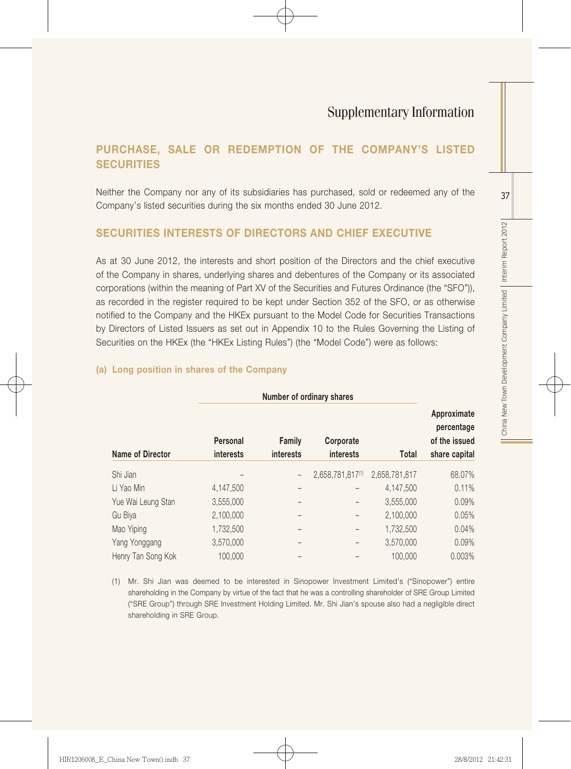## PURCHASE, SALE OR REDEMPTION OF THE COMPANY'S LISTED **SECURITIES**

Neither the Company nor any of its subsidiaries has purchased, sold or redeemed any of the Company's listed securities during the six months ended 30 June 2012.

## SECURITIES INTERESTS OF DIRECTORS AND CHIEF EXECUTIVE

As at 30 June 2012, the interests and short position of the Directors and the chief executive of the Company in shares, underlying shares and debentures of the Company or its associated corporations (within the meaning of Part XV of the Securities and Futures Ordinance (the "SFO")), as recorded in the register required to be kept under Section 352 of the SFO, or as otherwise notified to the Company and the HKEx pursuant to the Model Code for Securities Transactions by Directors of Listed Issuers as set out in Appendix 10 to the Rules Governing the Listing of Securities on the HKEx (the "HKEx Listing Rules") (the "Model Code") were as follows:

#### Number of ordinary shares Name of Director Personal interests Family interests **Corporate** interests Total Approximate percentage of the issued share capital Shi Jian – – 2,658,781,817(1) 2,658,781,817 68.07% Li Yao Min 4,147,500 – – 4,147,500 0.11% Yue Wai Leung Stan 3,555,000 – – 3,555,000 0.09% Gu Biya 2,100,000 – – 2,100,000 0.05% Mao Yiping 1,732,500 – – 1,732,500 0.04% Yang Yonggang 3,570,000 – – 3,570,000 0.09% Henry Tan Song Kok 100,000 – – 100,000 0.003%

#### (a) Long position in shares of the Company

(1) Mr. Shi Jian was deemed to be interested in Sinopower Investment Limited's ("Sinopower") entire shareholding in the Company by virtue of the fact that he was a controlling shareholder of SRE Group Limited ("SRE Group") through SRE Investment Holding Limited. Mr. Shi Jian's spouse also had a negligible direct shareholding in SRE Group.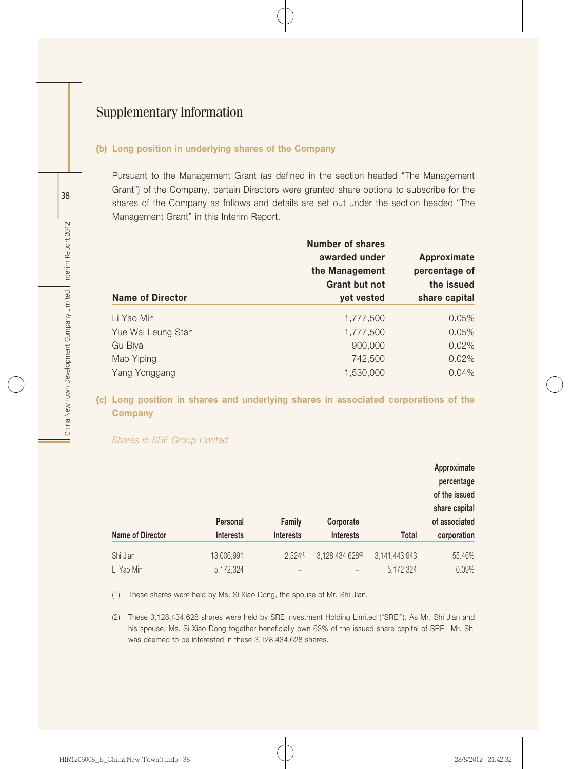#### (b) Long position in underlying shares of the Company

Pursuant to the Management Grant (as defined in the section headed "The Management Grant") of the Company, certain Directors were granted share options to subscribe for the shares of the Company as follows and details are set out under the section headed "The Management Grant" in this Interim Report.

| <b>Name of Director</b> | Number of shares<br>awarded under<br>the Management<br><b>Grant but not</b><br>yet vested | Approximate<br>percentage of<br>the issued<br>share capital |
|-------------------------|-------------------------------------------------------------------------------------------|-------------------------------------------------------------|
| Li Yao Min              | 1,777,500                                                                                 | 0.05%                                                       |
| Yue Wai Leung Stan      | 1,777,500                                                                                 | 0.05%                                                       |
| Gu Biya                 | 900,000                                                                                   | 0.02%                                                       |
| Mao Yiping              | 742,500                                                                                   | 0.02%                                                       |
| Yang Yonggang           | 1,530,000                                                                                 | 0.04%                                                       |

#### (c) Long position in shares and underlying shares in associated corporations of the **Company**

Approximate percentage of the issued share capital of associated corporation

(1) These shares were held by Ms. Si Xiao Dong, the spouse of Mr. Shi Jian.

(2) These 3,128,434,628 shares were held by SRE Investment Holding Limited ("SREI"). As Mr. Shi Jian and his spouse, Ms. Si Xiao Dong together beneficially own 63% of the issued share capital of SREI, Mr. Shi was deemed to be interested in these 3,128,434,628 shares.

Li Yao Min 5,172,324 – – 5,172,324 0.09%

Name of Director Personal Interests Family Interests **Corporate** Interests Total Shi Jian 13,006,991 2,324<sup>(1)</sup> 3,128,434,628<sup>(2)</sup> 3,141,443,943 55.46%

*Shares in SRE Group Limited*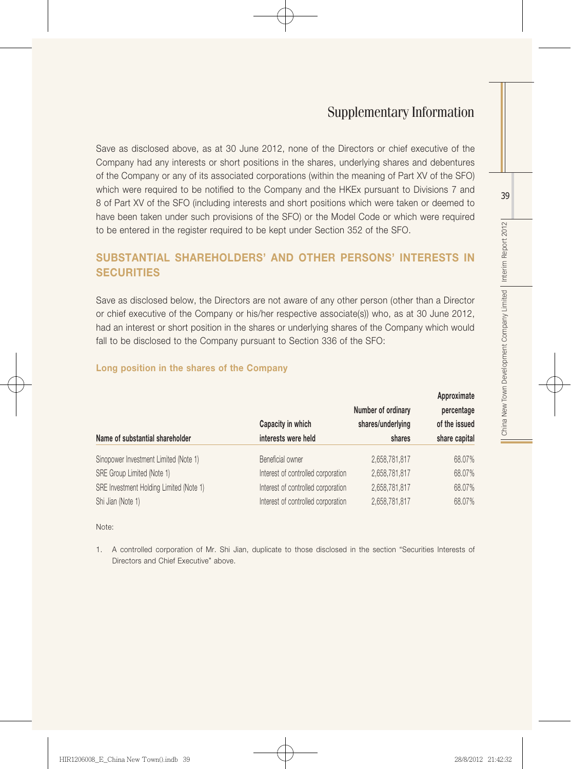Save as disclosed above, as at 30 June 2012, none of the Directors or chief executive of the Company had any interests or short positions in the shares, underlying shares and debentures of the Company or any of its associated corporations (within the meaning of Part XV of the SFO) which were required to be notified to the Company and the HKEx pursuant to Divisions 7 and 8 of Part XV of the SFO (including interests and short positions which were taken or deemed to have been taken under such provisions of the SFO) or the Model Code or which were required to be entered in the register required to be kept under Section 352 of the SFO.

## SUBSTANTIAL SHAREHOLDERS' AND OTHER PERSONS' INTERESTS IN **SECURITIES**

Save as disclosed below, the Directors are not aware of any other person (other than a Director or chief executive of the Company or his/her respective associate(s)) who, as at 30 June 2012, had an interest or short position in the shares or underlying shares of the Company which would fall to be disclosed to the Company pursuant to Section 336 of the SFO:

|                                         | Capacity in which                  | Number of ordinary<br>shares/underlying | Approximate<br>percentage<br>of the issued |
|-----------------------------------------|------------------------------------|-----------------------------------------|--------------------------------------------|
| Name of substantial shareholder         | interests were held                | shares                                  | share capital                              |
| Sinopower Investment Limited (Note 1)   | Beneficial owner                   | 2,658,781,817                           | 68.07%                                     |
| SRE Group Limited (Note 1)              | Interest of controlled corporation | 2,658,781,817                           | 68.07%                                     |
| SRE Investment Holding Limited (Note 1) | Interest of controlled corporation | 2,658,781,817                           | 68.07%                                     |
| Shi Jian (Note 1)                       | Interest of controlled corporation | 2,658,781,817                           | 68.07%                                     |

#### Long position in the shares of the Company

Note:

1. A controlled corporation of Mr. Shi Jian, duplicate to those disclosed in the section "Securities Interests of Directors and Chief Executive" above.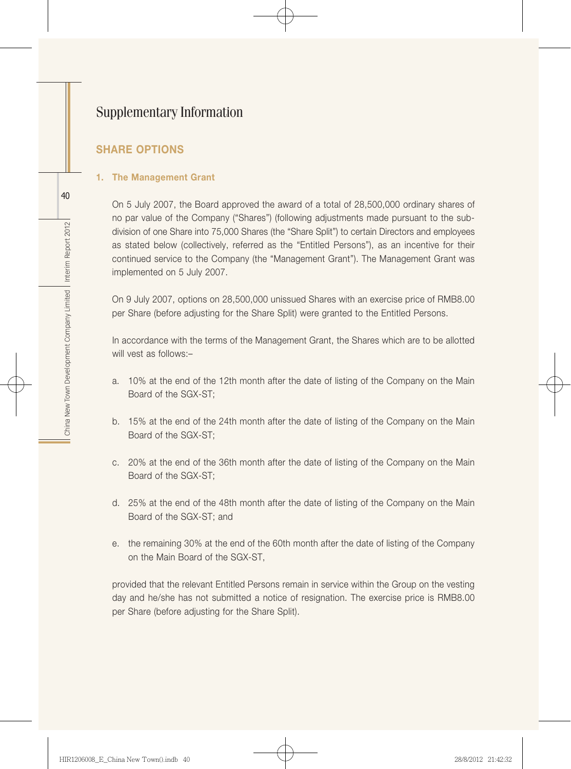## SHARE OPTIONS

#### 1. The Management Grant

On 5 July 2007, the Board approved the award of a total of 28,500,000 ordinary shares of no par value of the Company ("Shares") (following adjustments made pursuant to the subdivision of one Share into 75,000 Shares (the "Share Split") to certain Directors and employees as stated below (collectively, referred as the "Entitled Persons"), as an incentive for their continued service to the Company (the "Management Grant"). The Management Grant was implemented on 5 July 2007.

On 9 July 2007, options on 28,500,000 unissued Shares with an exercise price of RMB8.00 per Share (before adjusting for the Share Split) were granted to the Entitled Persons.

In accordance with the terms of the Management Grant, the Shares which are to be allotted will vest as follows:–

- a. 10% at the end of the 12th month after the date of listing of the Company on the Main Board of the SGX-ST;
- b. 15% at the end of the 24th month after the date of listing of the Company on the Main Board of the SGX-ST;
- c. 20% at the end of the 36th month after the date of listing of the Company on the Main Board of the SGX-ST;
- d. 25% at the end of the 48th month after the date of listing of the Company on the Main Board of the SGX-ST; and
- e. the remaining 30% at the end of the 60th month after the date of listing of the Company on the Main Board of the SGX-ST,

provided that the relevant Entitled Persons remain in service within the Group on the vesting day and he/she has not submitted a notice of resignation. The exercise price is RMB8.00 per Share (before adjusting for the Share Split).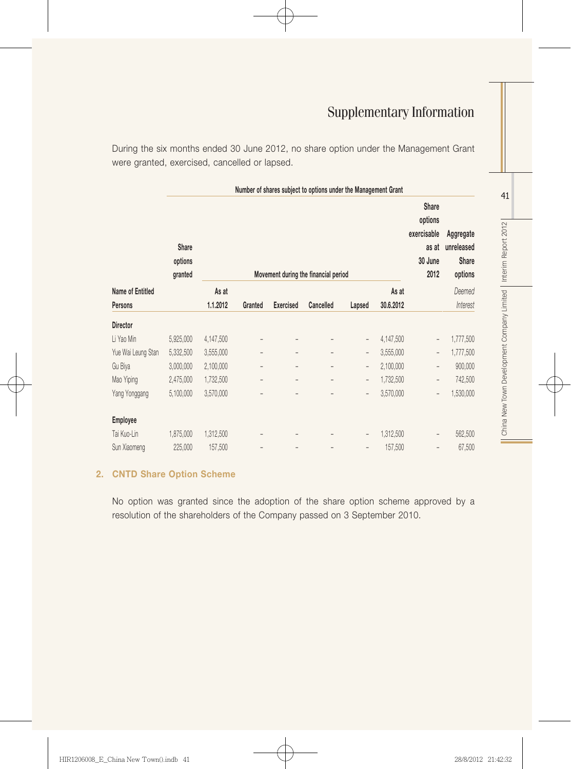During the six months ended 30 June 2012, no share option under the Management Grant were granted, exercised, cancelled or lapsed.

|                    | Number of shares subject to options under the Management Grant |                                      |                |                          |                          |                          |           |                          |                                             |  |  |
|--------------------|----------------------------------------------------------------|--------------------------------------|----------------|--------------------------|--------------------------|--------------------------|-----------|--------------------------|---------------------------------------------|--|--|
|                    | Share<br>options<br>granted                                    | Movement during the financial period |                |                          |                          |                          |           |                          | Aggregate<br>unreleased<br>Share<br>options |  |  |
| Name of Entitled   |                                                                | As at                                |                |                          |                          |                          | As at     |                          | Deemed                                      |  |  |
| Persons            |                                                                | 1.1.2012                             | Granted        | <b>Exercised</b>         | Cancelled                | Lapsed                   | 30.6.2012 |                          | Interest                                    |  |  |
| <b>Director</b>    |                                                                |                                      |                |                          |                          |                          |           |                          |                                             |  |  |
| Li Yao Min         | 5,925,000                                                      | 4,147,500                            |                |                          |                          | $\overline{\phantom{0}}$ | 4,147,500 | $\overline{\phantom{0}}$ | 1,777,500                                   |  |  |
| Yue Wai Leung Stan | 5,332,500                                                      | 3,555,000                            | $\overline{a}$ | $\overline{\phantom{0}}$ | $\bar{\phantom{a}}$      | $\overline{\phantom{a}}$ | 3,555,000 | $\overline{\phantom{0}}$ | 1,777,500                                   |  |  |
| Gu Biya            | 3,000,000                                                      | 2,100,000                            | $\overline{a}$ |                          | $\qquad \qquad =$        | $\overline{\phantom{0}}$ | 2,100,000 | $\qquad \qquad -$        | 900,000                                     |  |  |
| Mao Yiping         | 2,475,000                                                      | 1,732,500                            | $\overline{a}$ |                          | $\overline{\phantom{0}}$ | $\overline{\phantom{0}}$ | 1,732,500 | $\overline{\phantom{0}}$ | 742,500                                     |  |  |
| Yang Yonggang      | 5,100,000                                                      | 3,570,000                            | Ĭ.             |                          |                          | $\overline{\phantom{0}}$ | 3,570,000 | $\qquad \qquad -$        | 1,530,000                                   |  |  |
| <b>Employee</b>    |                                                                |                                      |                |                          |                          |                          |           |                          |                                             |  |  |
| Tai Kuo-Lin        | 1,875,000                                                      | 1,312,500                            |                |                          |                          | -                        | 1,312,500 | $\qquad \qquad -$        | 562,500                                     |  |  |
| Sun Xiaomeng       | 225,000                                                        | 157,500                              |                |                          |                          | $\overline{\phantom{0}}$ | 157,500   | $\qquad \qquad -$        | 67,500                                      |  |  |

#### 2. CNTD Share Option Scheme

No option was granted since the adoption of the share option scheme approved by a resolution of the shareholders of the Company passed on 3 September 2010.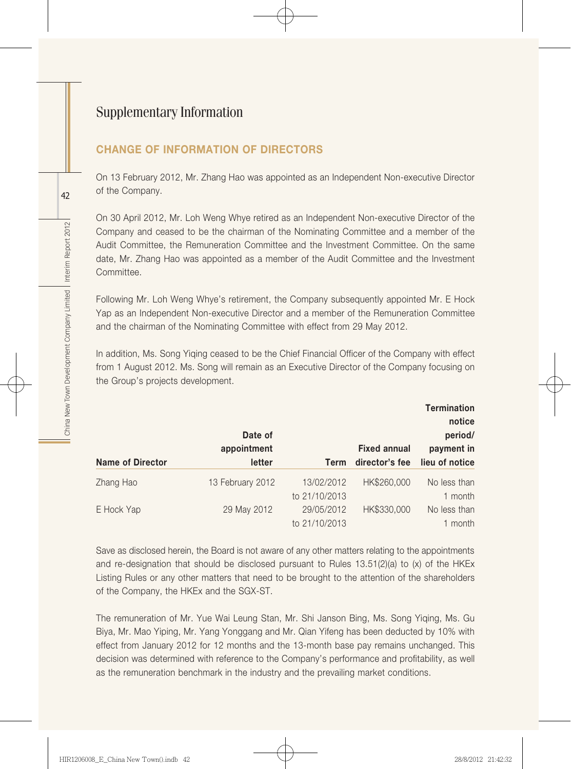## CHANGE OF INFORMATION OF DIRECTORS

On 13 February 2012, Mr. Zhang Hao was appointed as an Independent Non-executive Director of the Company.

On 30 April 2012, Mr. Loh Weng Whye retired as an Independent Non-executive Director of the Company and ceased to be the chairman of the Nominating Committee and a member of the Audit Committee, the Remuneration Committee and the Investment Committee. On the same date, Mr. Zhang Hao was appointed as a member of the Audit Committee and the Investment Committee.

Following Mr. Loh Weng Whye's retirement, the Company subsequently appointed Mr. E Hock Yap as an Independent Non-executive Director and a member of the Remuneration Committee and the chairman of the Nominating Committee with effect from 29 May 2012.

In addition, Ms. Song Yiqing ceased to be the Chief Financial Officer of the Company with effect from 1 August 2012. Ms. Song will remain as an Executive Director of the Company focusing on the Group's projects development.

|                         | Date of<br>appointment |                             | <b>Fixed annual</b> | <b>Termination</b><br>notice<br>period/<br>payment in |
|-------------------------|------------------------|-----------------------------|---------------------|-------------------------------------------------------|
| <b>Name of Director</b> | letter                 | Term                        | director's fee      | lieu of notice                                        |
| Zhang Hao               | 13 February 2012       | 13/02/2012<br>to 21/10/2013 | HK\$260,000         | No less than<br>1 month                               |
| E Hock Yap              | 29 May 2012            | 29/05/2012<br>to 21/10/2013 | HK\$330,000         | No less than<br>1 month                               |

Save as disclosed herein, the Board is not aware of any other matters relating to the appointments and re-designation that should be disclosed pursuant to Rules  $13.51(2)(a)$  to (x) of the HKEx Listing Rules or any other matters that need to be brought to the attention of the shareholders of the Company, the HKEx and the SGX-ST.

The remuneration of Mr. Yue Wai Leung Stan, Mr. Shi Janson Bing, Ms. Song Yiqing, Ms. Gu Biya, Mr. Mao Yiping, Mr. Yang Yonggang and Mr. Qian Yifeng has been deducted by 10% with effect from January 2012 for 12 months and the 13-month base pay remains unchanged. This decision was determined with reference to the Company's performance and profitability, as well as the remuneration benchmark in the industry and the prevailing market conditions.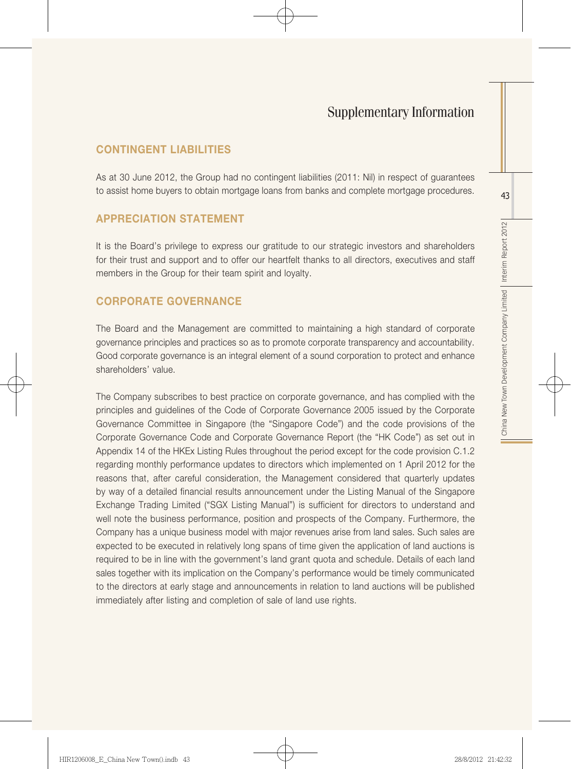#### CONTINGENT LIABILITIES

As at 30 June 2012, the Group had no contingent liabilities (2011: Nil) in respect of guarantees to assist home buyers to obtain mortgage loans from banks and complete mortgage procedures.

#### APPRECIATION STATEMENT

It is the Board's privilege to express our gratitude to our strategic investors and shareholders for their trust and support and to offer our heartfelt thanks to all directors, executives and staff members in the Group for their team spirit and loyalty.

## CORPORATE GOVERNANCE

The Board and the Management are committed to maintaining a high standard of corporate governance principles and practices so as to promote corporate transparency and accountability. Good corporate governance is an integral element of a sound corporation to protect and enhance shareholders' value.

The Company subscribes to best practice on corporate governance, and has complied with the principles and guidelines of the Code of Corporate Governance 2005 issued by the Corporate Governance Committee in Singapore (the "Singapore Code") and the code provisions of the Corporate Governance Code and Corporate Governance Report (the "HK Code") as set out in Appendix 14 of the HKEx Listing Rules throughout the period except for the code provision C.1.2 regarding monthly performance updates to directors which implemented on 1 April 2012 for the reasons that, after careful consideration, the Management considered that quarterly updates by way of a detailed financial results announcement under the Listing Manual of the Singapore Exchange Trading Limited ("SGX Listing Manual") is sufficient for directors to understand and well note the business performance, position and prospects of the Company. Furthermore, the Company has a unique business model with major revenues arise from land sales. Such sales are expected to be executed in relatively long spans of time given the application of land auctions is required to be in line with the government's land grant quota and schedule. Details of each land sales together with its implication on the Company's performance would be timely communicated to the directors at early stage and announcements in relation to land auctions will be published immediately after listing and completion of sale of land use rights.